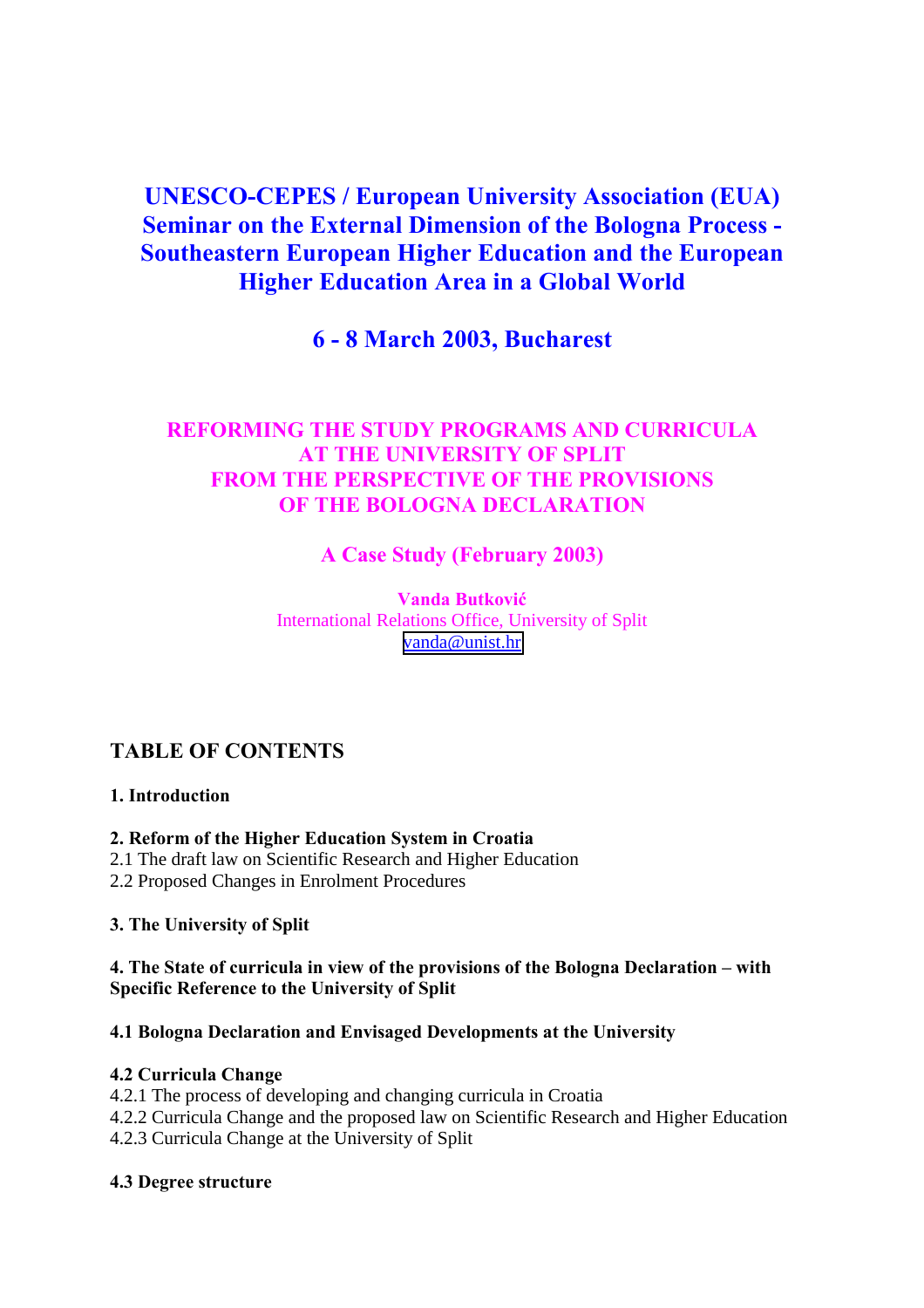# **UNESCO-CEPES / European University Association (EUA) Seminar on the External Dimension of the Bologna Process - Southeastern European Higher Education and the European Higher Education Area in a Global World**

# **6 - 8 March 2003, Bucharest**

# **REFORMING THE STUDY PROGRAMS AND CURRICULA AT THE UNIVERSITY OF SPLIT FROM THE PERSPECTIVE OF THE PROVISIONS OF THE BOLOGNA DECLARATION**

# **A Case Study (February 2003)**

**Vanda Butković** International Relations Office, University of Split [vanda@unist.hr](mailto:vanda@unist.hr)

# **TABLE OF CONTENTS**

#### **1. Introduction**

#### **2. Reform of the Higher Education System in Croatia**

- 2.1 The draft law on Scientific Research and Higher Education
- 2.2 Proposed Changes in Enrolment Procedures

#### **3. The University of Split**

#### **4. The State of curricula in view of the provisions of the Bologna Declaration – with Specific Reference to the University of Split**

### **4.1 Bologna Declaration and Envisaged Developments at the University**

#### **4.2 Curricula Change**

- 4.2.1 The process of developing and changing curricula in Croatia
- 4.2.2 Curricula Change and the proposed law on Scientific Research and Higher Education
- 4.2.3 Curricula Change at the University of Split

#### **4.3 Degree structure**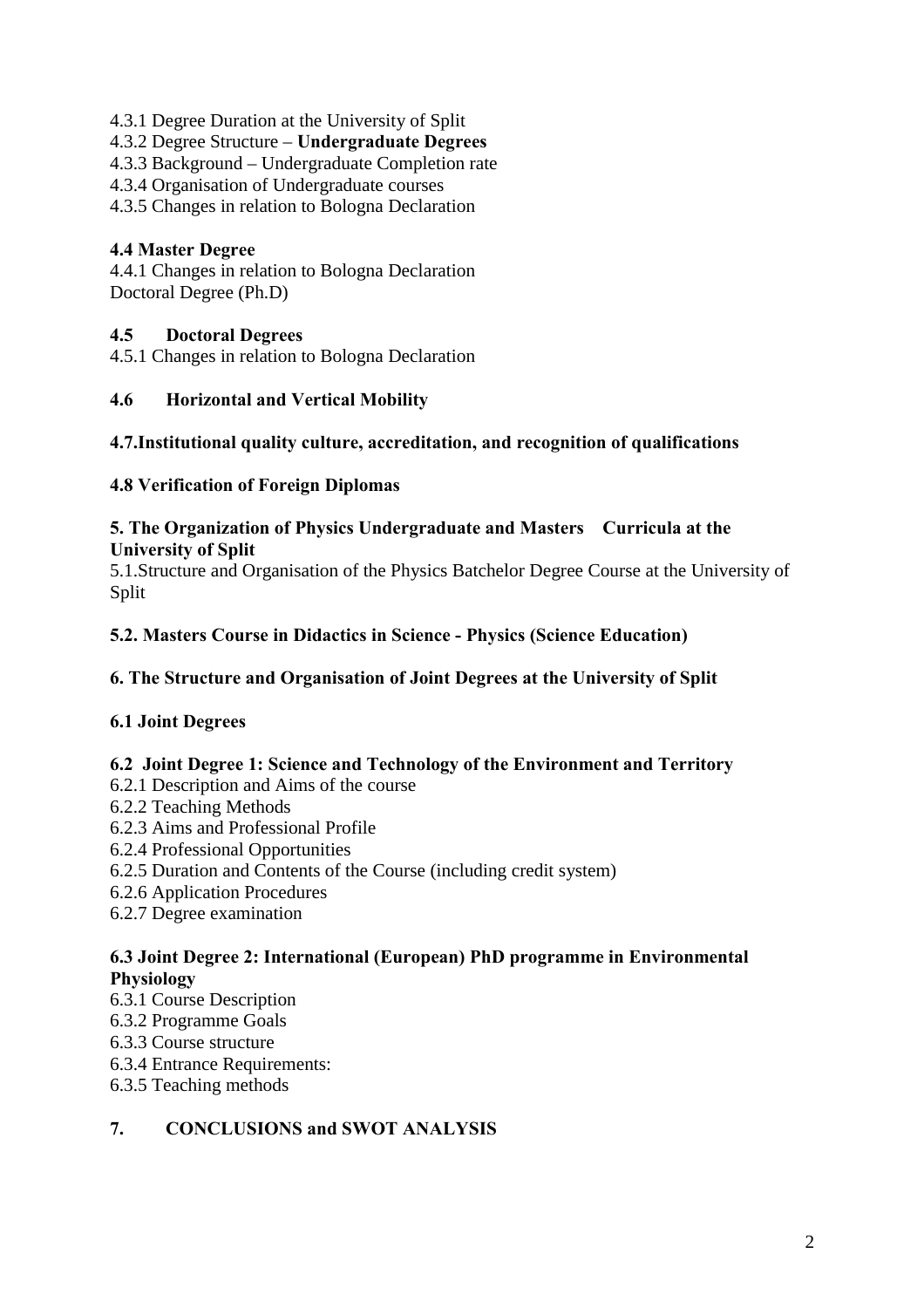- 4.3.1 Degree Duration at the University of Split
- 4.3.2 Degree Structure **Undergraduate Degrees**
- 4.3.3 Background Undergraduate Completion rate
- 4.3.4 Organisation of Undergraduate courses
- 4.3.5 Changes in relation to Bologna Declaration

### **4.4 Master Degree**

4.4.1 Changes in relation to Bologna Declaration Doctoral Degree (Ph.D)

## **4.5 Doctoral Degrees**

4.5.1 Changes in relation to Bologna Declaration

#### **4.6 Horizontal and Vertical Mobility**

### **4.7.Institutional quality culture, accreditation, and recognition of qualifications**

#### **4.8 Verification of Foreign Diplomas**

#### **5. The Organization of Physics Undergraduate and Masters Curricula at the University of Split**

5.1.Structure and Organisation of the Physics Batchelor Degree Course at the University of Split

### **5.2. Masters Course in Didactics in Science - Physics (Science Education)**

#### **6. The Structure and Organisation of Joint Degrees at the University of Split**

## **6.1 Joint Degrees**

#### **6.2 Joint Degree 1: Science and Technology of the Environment and Territory**

- 6.2.1 Description and Aims of the course
- 6.2.2 Teaching Methods
- 6.2.3 Aims and Professional Profile
- 6.2.4 Professional Opportunities
- 6.2.5 Duration and Contents of the Course (including credit system)
- 6.2.6 Application Procedures
- 6.2.7 Degree examination

#### **6.3 Joint Degree 2: International (European) PhD programme in Environmental Physiology**

- 6.3.1 Course Description
- 6.3.2 Programme Goals
- 6.3.3 Course structure
- 6.3.4 Entrance Requirements:
- 6.3.5 Teaching methods

## **7. CONCLUSIONS and SWOT ANALYSIS**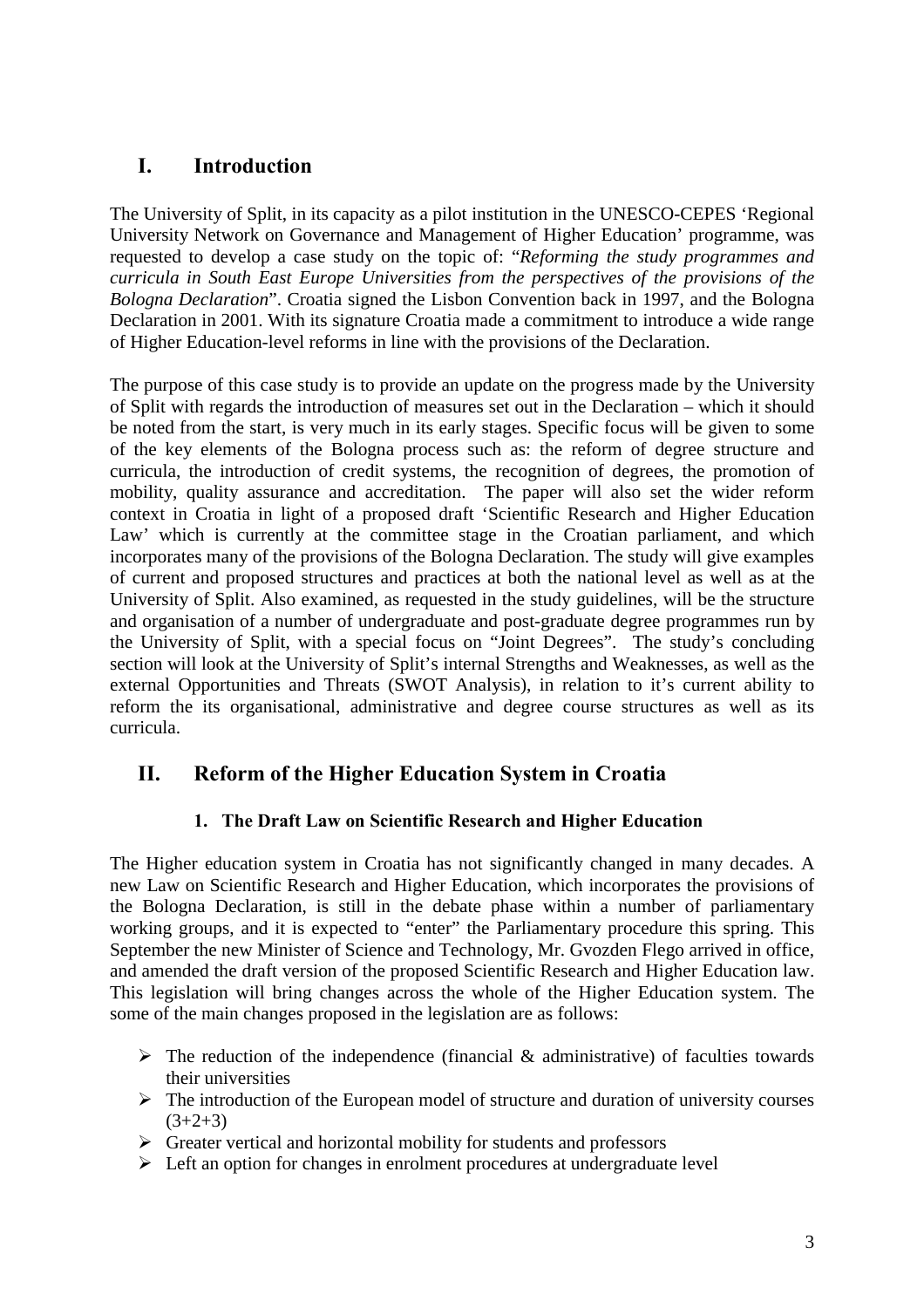# **I. Introduction**

The University of Split, in its capacity as a pilot institution in the UNESCO-CEPES 'Regional University Network on Governance and Management of Higher Education' programme, was requested to develop a case study on the topic of: "*Reforming the study programmes and curricula in South East Europe Universities from the perspectives of the provisions of the Bologna Declaration*". Croatia signed the Lisbon Convention back in 1997, and the Bologna Declaration in 2001. With its signature Croatia made a commitment to introduce a wide range of Higher Education-level reforms in line with the provisions of the Declaration.

The purpose of this case study is to provide an update on the progress made by the University of Split with regards the introduction of measures set out in the Declaration – which it should be noted from the start, is very much in its early stages. Specific focus will be given to some of the key elements of the Bologna process such as: the reform of degree structure and curricula, the introduction of credit systems, the recognition of degrees, the promotion of mobility, quality assurance and accreditation. The paper will also set the wider reform context in Croatia in light of a proposed draft 'Scientific Research and Higher Education Law' which is currently at the committee stage in the Croatian parliament, and which incorporates many of the provisions of the Bologna Declaration. The study will give examples of current and proposed structures and practices at both the national level as well as at the University of Split. Also examined, as requested in the study guidelines, will be the structure and organisation of a number of undergraduate and post-graduate degree programmes run by the University of Split, with a special focus on "Joint Degrees". The study's concluding section will look at the University of Split's internal Strengths and Weaknesses, as well as the external Opportunities and Threats (SWOT Analysis), in relation to it's current ability to reform the its organisational, administrative and degree course structures as well as its curricula.

# **II. Reform of the Higher Education System in Croatia**

## **1. The Draft Law on Scientific Research and Higher Education**

The Higher education system in Croatia has not significantly changed in many decades. A new Law on Scientific Research and Higher Education, which incorporates the provisions of the Bologna Declaration, is still in the debate phase within a number of parliamentary working groups, and it is expected to "enter" the Parliamentary procedure this spring. This September the new Minister of Science and Technology, Mr. Gvozden Flego arrived in office, and amended the draft version of the proposed Scientific Research and Higher Education law. This legislation will bring changes across the whole of the Higher Education system. The some of the main changes proposed in the legislation are as follows:

- $\triangleright$  The reduction of the independence (financial & administrative) of faculties towards their universities
- $\triangleright$  The introduction of the European model of structure and duration of university courses  $(3+2+3)$
- $\triangleright$  Greater vertical and horizontal mobility for students and professors
- $\triangleright$  Left an option for changes in enrolment procedures at undergraduate level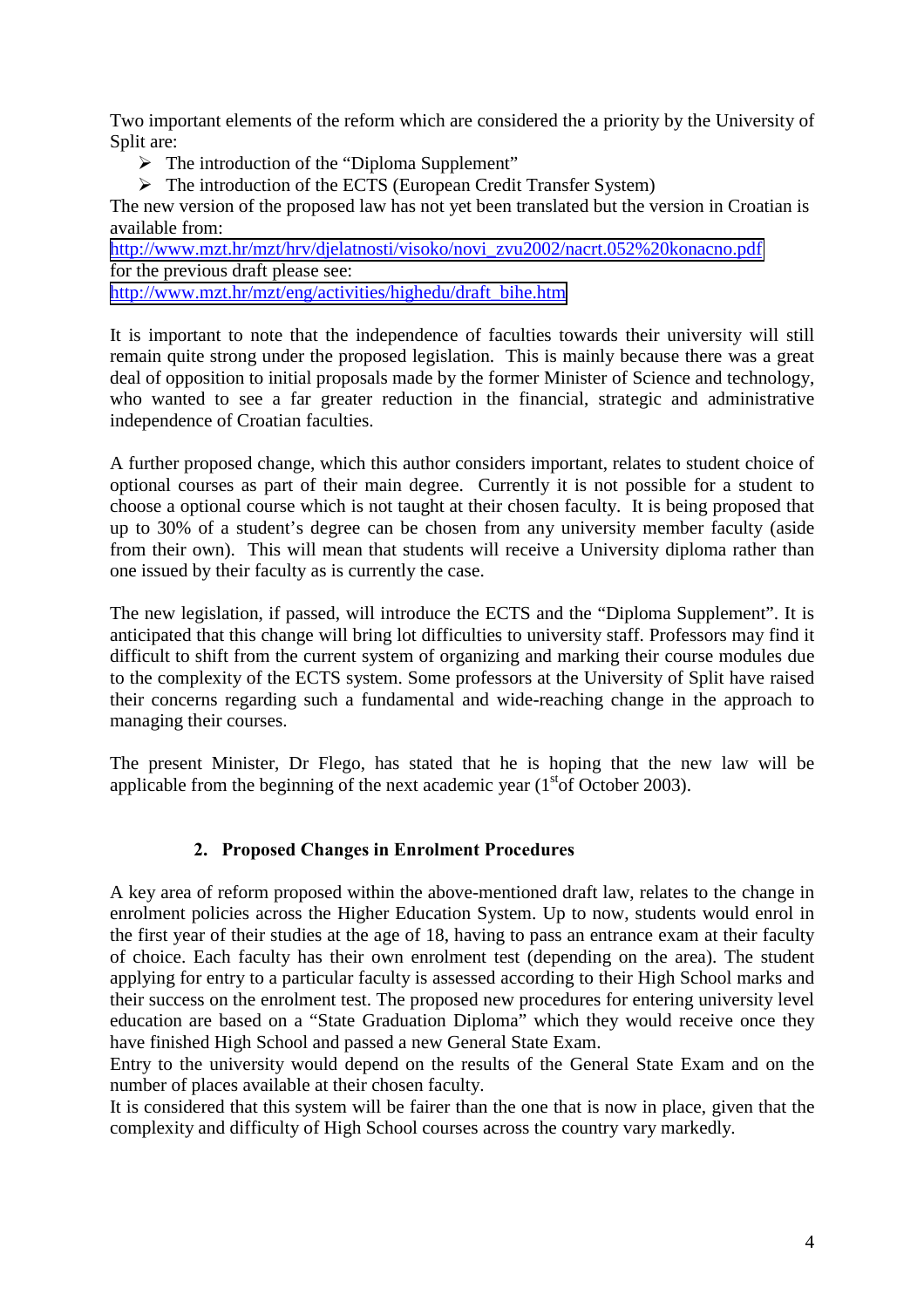Two important elements of the reform which are considered the a priority by the University of Split are:

 $\triangleright$  The introduction of the "Diploma Supplement"

> The introduction of the ECTS (European Credit Transfer System)

The new version of the proposed law has not yet been translated but the version in Croatian is available from:

[http://www.mzt.hr/mzt/hrv/djelatnosti/visoko/novi\\_zvu2002/nacrt.052%20konacno.pdf](http://www.mzt.hr/mzt/hrv/djelatnosti/visoko/novi_zvu2002/nacrt.052 konacno.pdf) for the previous draft please see: [http://www.mzt.hr/mzt/eng/activities/highedu/draft\\_bihe.htm](http://www.mzt.hr/mzt/eng/activities/highedu/draft_bihe.htm)

It is important to note that the independence of faculties towards their university will still remain quite strong under the proposed legislation. This is mainly because there was a great deal of opposition to initial proposals made by the former Minister of Science and technology, who wanted to see a far greater reduction in the financial, strategic and administrative independence of Croatian faculties.

A further proposed change, which this author considers important, relates to student choice of optional courses as part of their main degree. Currently it is not possible for a student to choose a optional course which is not taught at their chosen faculty. It is being proposed that up to 30% of a student's degree can be chosen from any university member faculty (aside from their own). This will mean that students will receive a University diploma rather than one issued by their faculty as is currently the case.

The new legislation, if passed, will introduce the ECTS and the "Diploma Supplement". It is anticipated that this change will bring lot difficulties to university staff. Professors may find it difficult to shift from the current system of organizing and marking their course modules due to the complexity of the ECTS system. Some professors at the University of Split have raised their concerns regarding such a fundamental and wide-reaching change in the approach to managing their courses.

The present Minister, Dr Flego, has stated that he is hoping that the new law will be applicable from the beginning of the next academic year  $(1<sup>st</sup> \text{ of October 2003}).$ 

## **2. Proposed Changes in Enrolment Procedures**

A key area of reform proposed within the above-mentioned draft law, relates to the change in enrolment policies across the Higher Education System. Up to now, students would enrol in the first year of their studies at the age of 18, having to pass an entrance exam at their faculty of choice. Each faculty has their own enrolment test (depending on the area). The student applying for entry to a particular faculty is assessed according to their High School marks and their success on the enrolment test. The proposed new procedures for entering university level education are based on a "State Graduation Diploma" which they would receive once they have finished High School and passed a new General State Exam.

Entry to the university would depend on the results of the General State Exam and on the number of places available at their chosen faculty.

It is considered that this system will be fairer than the one that is now in place, given that the complexity and difficulty of High School courses across the country vary markedly.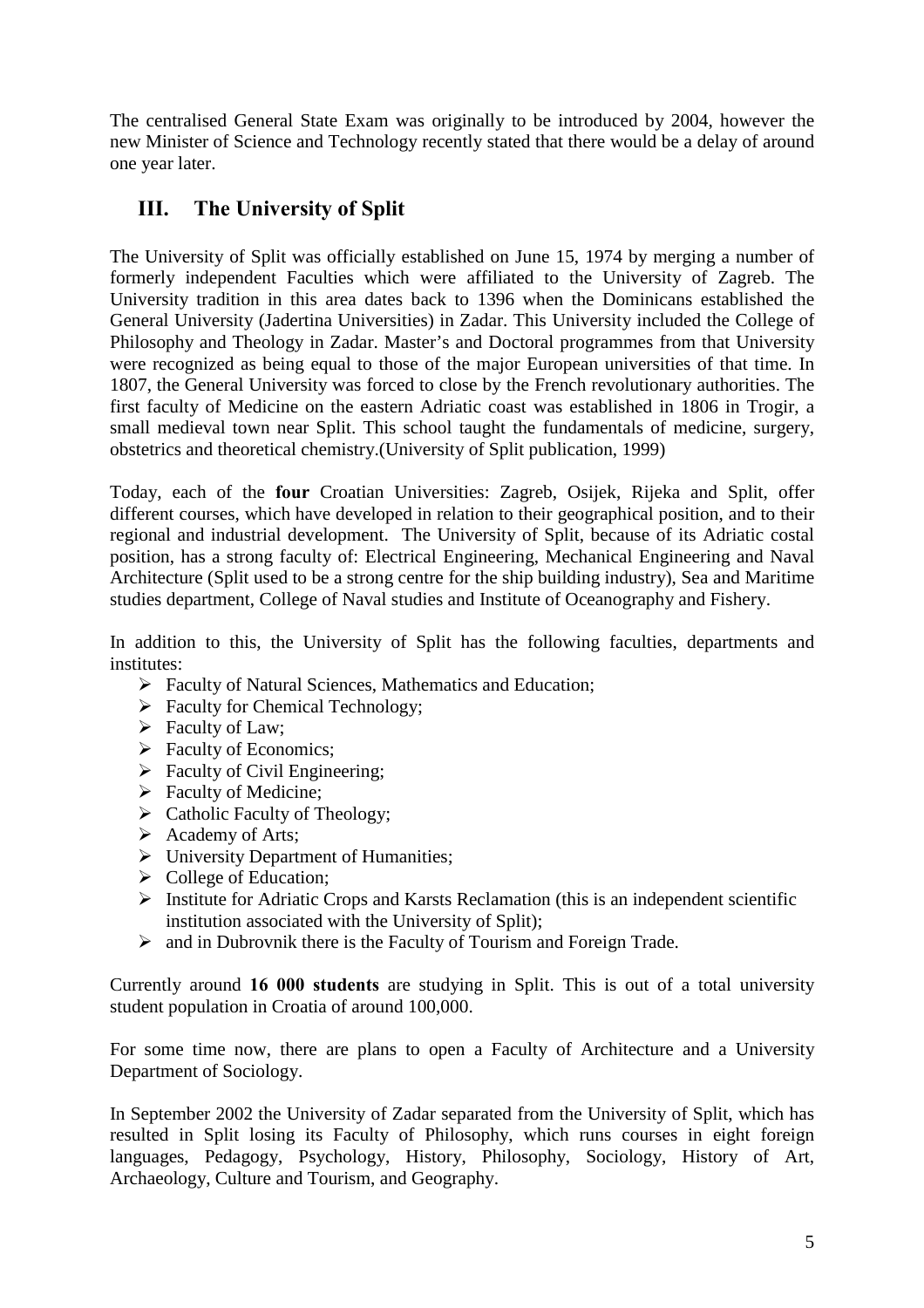The centralised General State Exam was originally to be introduced by 2004, however the new Minister of Science and Technology recently stated that there would be a delay of around one year later.

# **III. The University of Split**

The University of Split was officially established on June 15, 1974 by merging a number of formerly independent Faculties which were affiliated to the University of Zagreb. The University tradition in this area dates back to 1396 when the Dominicans established the General University (Jadertina Universities) in Zadar. This University included the College of Philosophy and Theology in Zadar. Master's and Doctoral programmes from that University were recognized as being equal to those of the major European universities of that time. In 1807, the General University was forced to close by the French revolutionary authorities. The first faculty of Medicine on the eastern Adriatic coast was established in 1806 in Trogir, a small medieval town near Split. This school taught the fundamentals of medicine, surgery, obstetrics and theoretical chemistry.(University of Split publication, 1999)

Today, each of the **four** Croatian Universities: Zagreb, Osijek, Rijeka and Split, offer different courses, which have developed in relation to their geographical position, and to their regional and industrial development. The University of Split, because of its Adriatic costal position, has a strong faculty of: Electrical Engineering, Mechanical Engineering and Naval Architecture (Split used to be a strong centre for the ship building industry), Sea and Maritime studies department, College of Naval studies and Institute of Oceanography and Fishery.

In addition to this, the University of Split has the following faculties, departments and institutes:

- $\triangleright$  Faculty of Natural Sciences, Mathematics and Education;
- $\triangleright$  Faculty for Chemical Technology;
- $\triangleright$  Faculty of Law:
- $\triangleright$  Faculty of Economics;
- $\triangleright$  Faculty of Civil Engineering;
- $\triangleright$  Faculty of Medicine:
- $\triangleright$  Catholic Faculty of Theology;
- $\triangleright$  Academy of Arts;
- > University Department of Humanities;
- $\triangleright$  College of Education;
- $\triangleright$  Institute for Adriatic Crops and Karsts Reclamation (this is an independent scientific institution associated with the University of Split);
- $\triangleright$  and in Dubrovnik there is the Faculty of Tourism and Foreign Trade.

Currently around **16 000 students** are studying in Split. This is out of a total university student population in Croatia of around 100,000.

For some time now, there are plans to open a Faculty of Architecture and a University Department of Sociology.

In September 2002 the University of Zadar separated from the University of Split, which has resulted in Split losing its Faculty of Philosophy, which runs courses in eight foreign languages, Pedagogy, Psychology, History, Philosophy, Sociology, History of Art, Archaeology, Culture and Tourism, and Geography.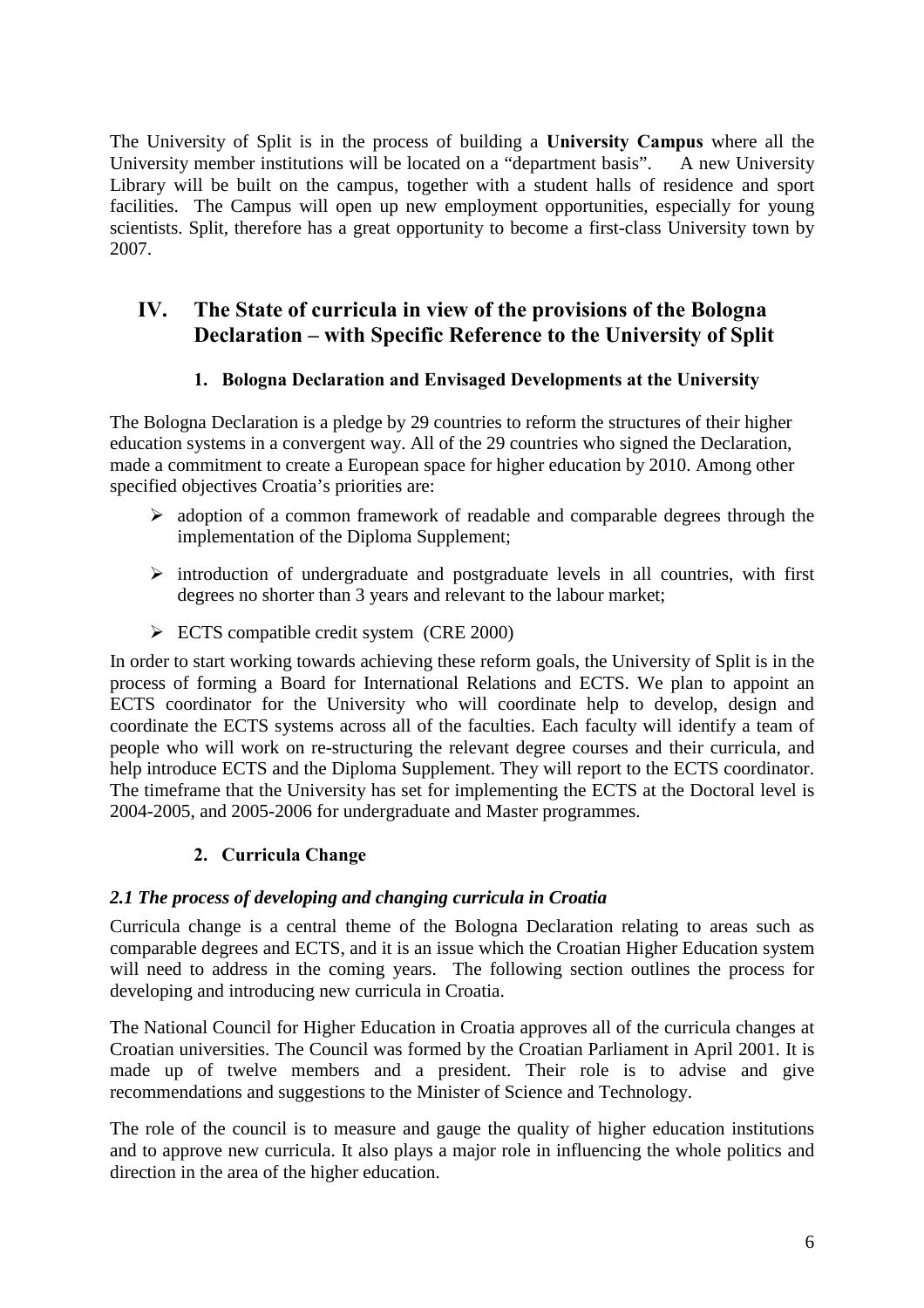The University of Split is in the process of building a **University Campus** where all the University member institutions will be located on a "department basis". A new University Library will be built on the campus, together with a student halls of residence and sport facilities. The Campus will open up new employment opportunities, especially for young scientists. Split, therefore has a great opportunity to become a first-class University town by 2007.

# **IV. The State of curricula in view of the provisions of the Bologna Declaration – with Specific Reference to the University of Split**

### **1. Bologna Declaration and Envisaged Developments at the University**

The Bologna Declaration is a pledge by 29 countries to reform the structures of their higher education systems in a convergent way. All of the 29 countries who signed the Declaration, made a commitment to create a European space for higher education by 2010. Among other specified objectives Croatia's priorities are:

- $\triangleright$  adoption of a common framework of readable and comparable degrees through the implementation of the Diploma Supplement;
- $\triangleright$  introduction of undergraduate and postgraduate levels in all countries, with first degrees no shorter than 3 years and relevant to the labour market;
- $\triangleright$  ECTS compatible credit system (CRE 2000)

In order to start working towards achieving these reform goals, the University of Split is in the process of forming a Board for International Relations and ECTS. We plan to appoint an ECTS coordinator for the University who will coordinate help to develop, design and coordinate the ECTS systems across all of the faculties. Each faculty will identify a team of people who will work on re-structuring the relevant degree courses and their curricula, and help introduce ECTS and the Diploma Supplement. They will report to the ECTS coordinator. The timeframe that the University has set for implementing the ECTS at the Doctoral level is 2004-2005, and 2005-2006 for undergraduate and Master programmes.

## **2. Curricula Change**

#### *2.1 The process of developing and changing curricula in Croatia*

Curricula change is a central theme of the Bologna Declaration relating to areas such as comparable degrees and ECTS, and it is an issue which the Croatian Higher Education system will need to address in the coming years. The following section outlines the process for developing and introducing new curricula in Croatia.

The National Council for Higher Education in Croatia approves all of the curricula changes at Croatian universities. The Council was formed by the Croatian Parliament in April 2001. It is made up of twelve members and a president. Their role is to advise and give recommendations and suggestions to the Minister of Science and Technology.

The role of the council is to measure and gauge the quality of higher education institutions and to approve new curricula. It also plays a major role in influencing the whole politics and direction in the area of the higher education.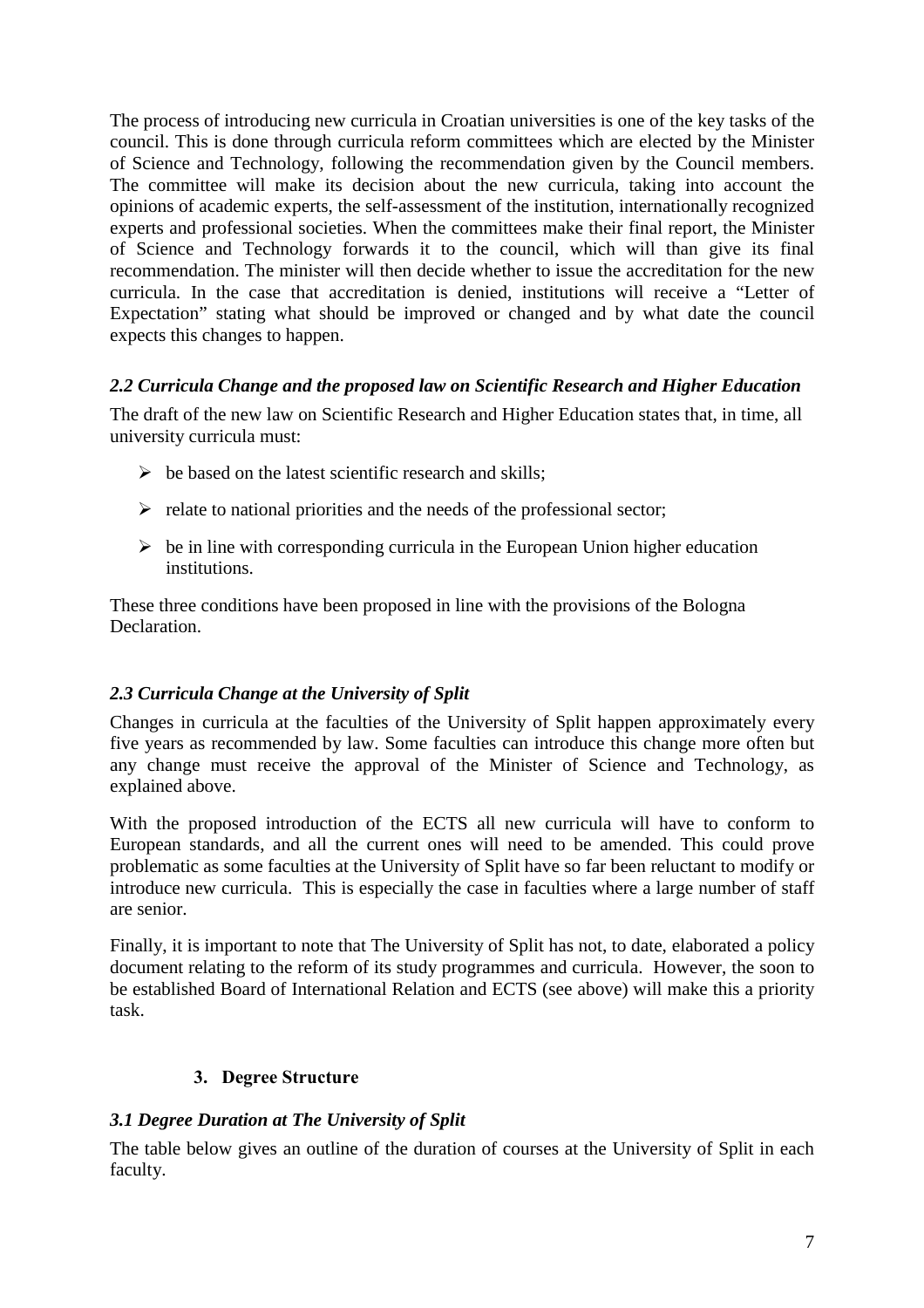The process of introducing new curricula in Croatian universities is one of the key tasks of the council. This is done through curricula reform committees which are elected by the Minister of Science and Technology, following the recommendation given by the Council members. The committee will make its decision about the new curricula, taking into account the opinions of academic experts, the self-assessment of the institution, internationally recognized experts and professional societies. When the committees make their final report, the Minister of Science and Technology forwards it to the council, which will than give its final recommendation. The minister will then decide whether to issue the accreditation for the new curricula. In the case that accreditation is denied, institutions will receive a "Letter of Expectation" stating what should be improved or changed and by what date the council expects this changes to happen.

### *2.2 Curricula Change and the proposed law on Scientific Research and Higher Education*

The draft of the new law on Scientific Research and Higher Education states that, in time, all university curricula must:

- $\triangleright$  be based on the latest scientific research and skills;
- $\triangleright$  relate to national priorities and the needs of the professional sector;
- $\triangleright$  be in line with corresponding curricula in the European Union higher education institutions.

These three conditions have been proposed in line with the provisions of the Bologna **Declaration** 

## *2.3 Curricula Change at the University of Split*

Changes in curricula at the faculties of the University of Split happen approximately every five years as recommended by law. Some faculties can introduce this change more often but any change must receive the approval of the Minister of Science and Technology, as explained above.

With the proposed introduction of the ECTS all new curricula will have to conform to European standards, and all the current ones will need to be amended. This could prove problematic as some faculties at the University of Split have so far been reluctant to modify or introduce new curricula. This is especially the case in faculties where a large number of staff are senior.

Finally, it is important to note that The University of Split has not, to date, elaborated a policy document relating to the reform of its study programmes and curricula. However, the soon to be established Board of International Relation and ECTS (see above) will make this a priority task.

#### **3. Degree Structure**

#### *3.1 Degree Duration at The University of Split*

The table below gives an outline of the duration of courses at the University of Split in each faculty.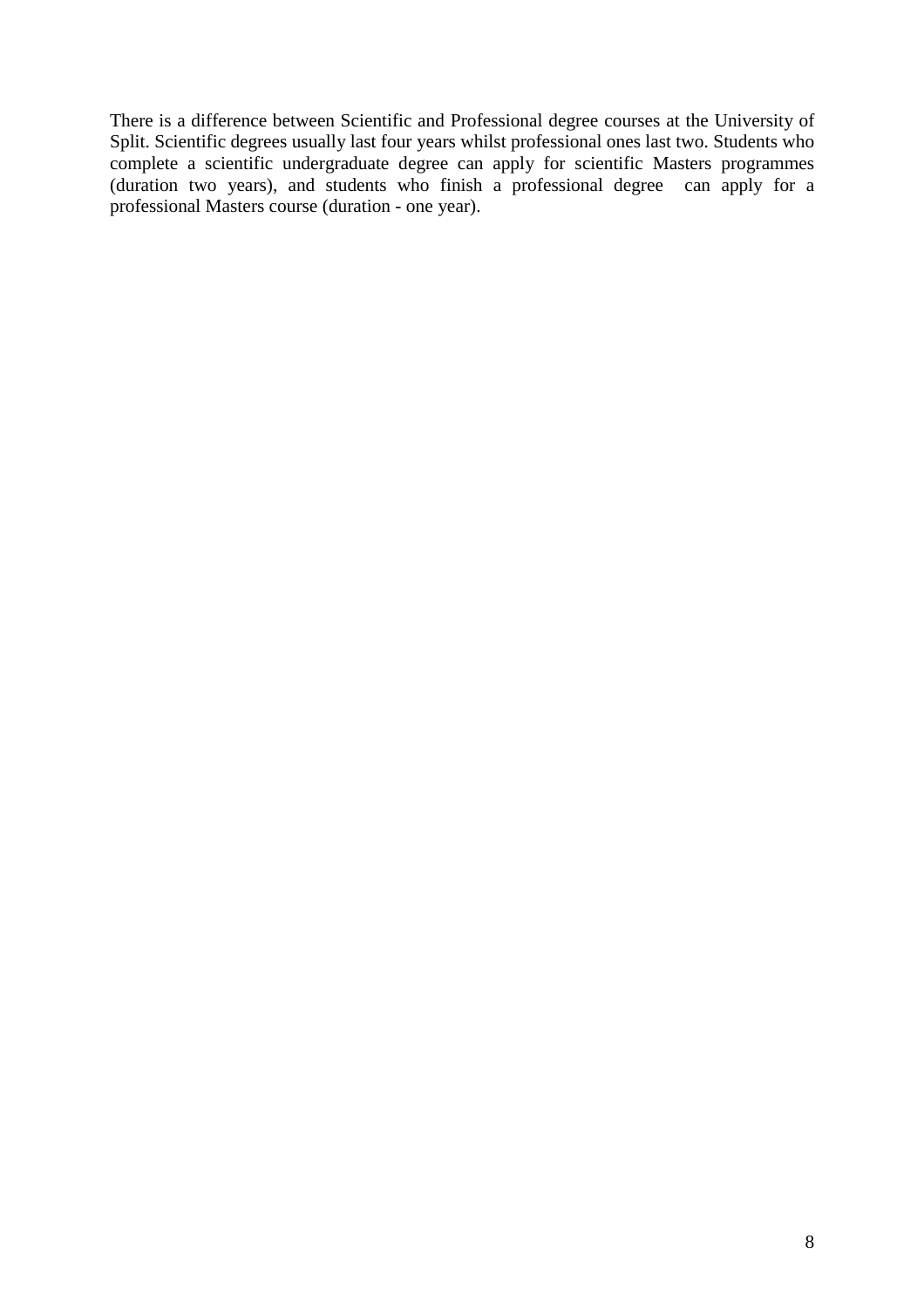There is a difference between Scientific and Professional degree courses at the University of Split. Scientific degrees usually last four years whilst professional ones last two. Students who complete a scientific undergraduate degree can apply for scientific Masters programmes (duration two years), and students who finish a professional degree can apply for a professional Masters course (duration - one year).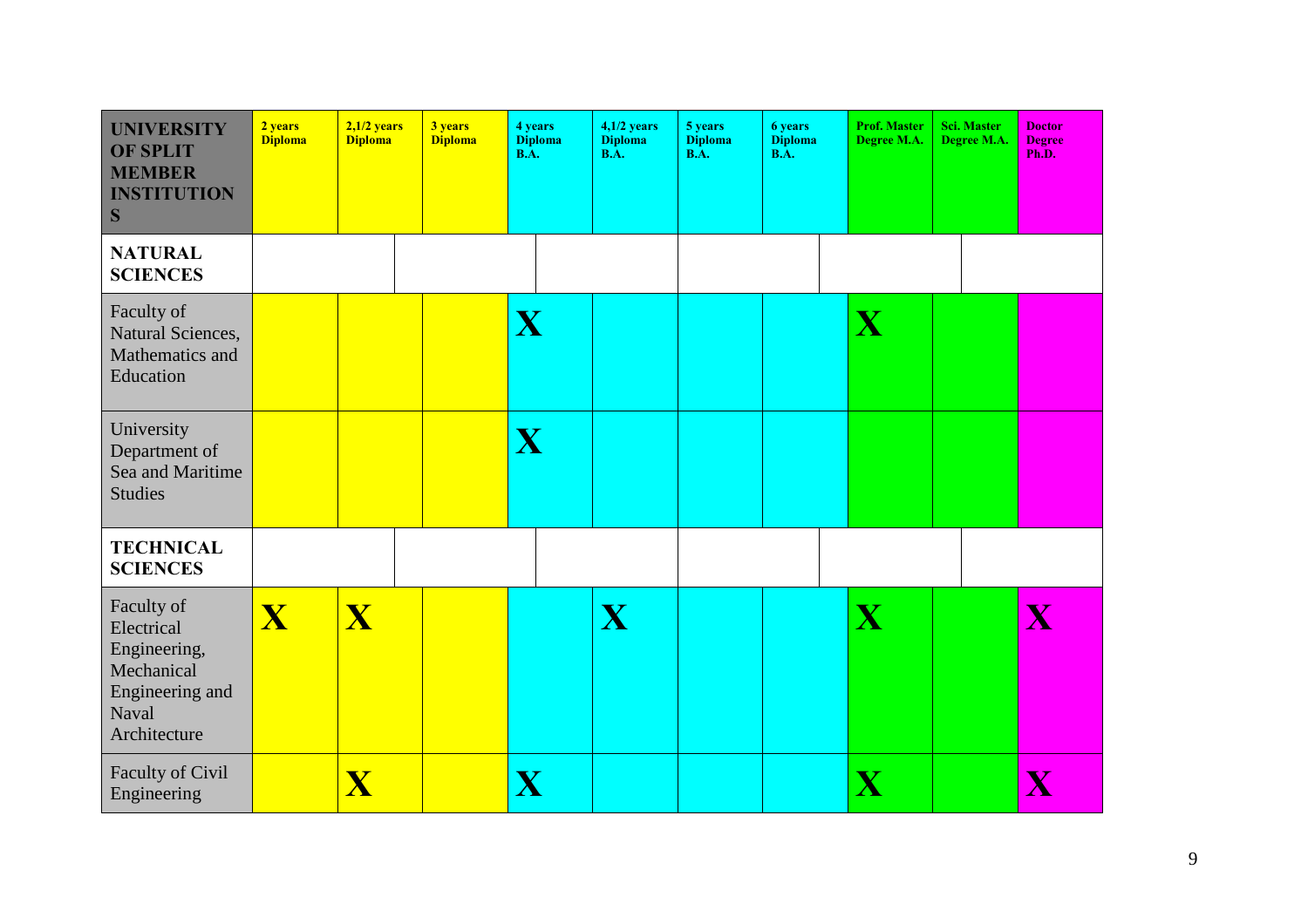| <b>UNIVERSITY</b><br><b>OF SPLIT</b><br><b>MEMBER</b><br><b>INSTITUTION</b><br>S                   | 2 years<br><b>Diploma</b> | $2,1/2$ years<br><b>Diploma</b> | 3 years<br><b>Diploma</b> | 4 years<br><b>Diploma</b><br>$\overline{\mathbf{B}.\mathbf{A}}$ . | $4,1/2$ years<br><b>Diploma</b><br>$\overline{BA}$ . | 5 years<br><b>Diploma</b><br>$\overline{\mathbf{B}.\mathbf{A}}$ . | <b>6 years</b><br><b>Diploma</b><br><b>B.A.</b> | <b>Prof. Master</b><br>Degree M.A. | <b>Sci. Master</b><br>Degree M.A. | <b>Doctor</b><br><b>Degree</b><br>Ph.D. |
|----------------------------------------------------------------------------------------------------|---------------------------|---------------------------------|---------------------------|-------------------------------------------------------------------|------------------------------------------------------|-------------------------------------------------------------------|-------------------------------------------------|------------------------------------|-----------------------------------|-----------------------------------------|
| <b>NATURAL</b><br><b>SCIENCES</b>                                                                  |                           |                                 |                           |                                                                   |                                                      |                                                                   |                                                 |                                    |                                   |                                         |
| Faculty of<br>Natural Sciences,<br>Mathematics and<br>Education                                    |                           |                                 |                           | X                                                                 |                                                      |                                                                   |                                                 | X                                  |                                   |                                         |
| University<br>Department of<br>Sea and Maritime<br><b>Studies</b>                                  |                           |                                 |                           | X                                                                 |                                                      |                                                                   |                                                 |                                    |                                   |                                         |
| <b>TECHNICAL</b><br><b>SCIENCES</b>                                                                |                           |                                 |                           |                                                                   |                                                      |                                                                   |                                                 |                                    |                                   |                                         |
| Faculty of<br>Electrical<br>Engineering,<br>Mechanical<br>Engineering and<br>Naval<br>Architecture | $\overline{\mathbf{X}}$   | $\overline{\mathbf{X}}$         |                           |                                                                   | X                                                    |                                                                   |                                                 | X                                  |                                   | $\overline{\mathbf{X}}$                 |
| Faculty of Civil<br>Engineering                                                                    |                           | $\overline{\mathbf{X}}$         |                           | $\overline{\mathbf{X}}$                                           |                                                      |                                                                   |                                                 | $\overline{\mathbf{X}}$            |                                   | $\overline{\mathbf{X}}$                 |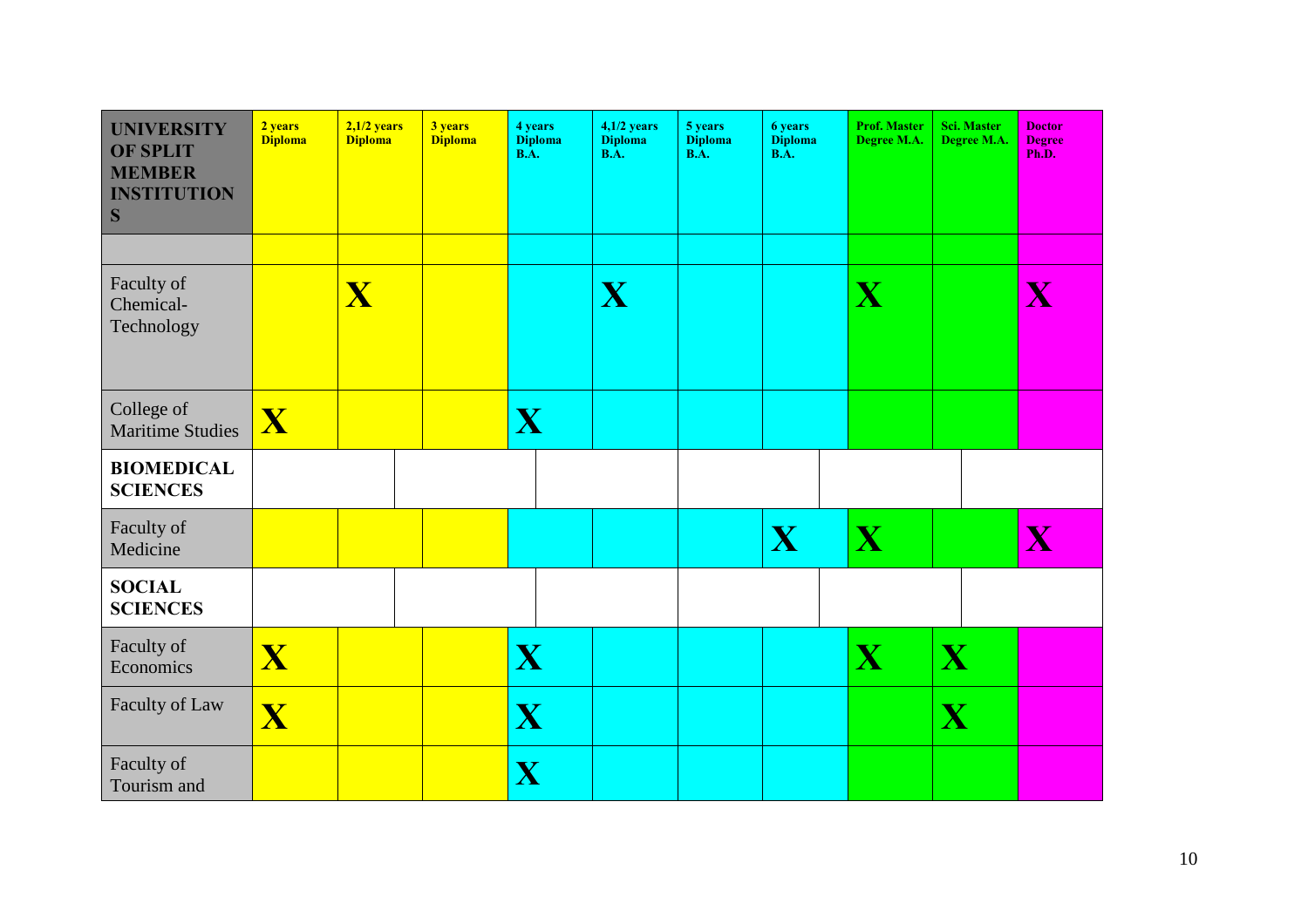| <b>UNIVERSITY</b><br><b>OF SPLIT</b><br><b>MEMBER</b><br><b>INSTITUTION</b><br>S | 2 years<br><b>Diploma</b> | $2,1/2$ years<br><b>Diploma</b> | 3 years<br><b>Diploma</b> | 4 years<br><b>Diploma</b><br><b>B.A.</b> | $4,1/2$ years<br><b>Diploma</b><br><b>B.A.</b> | 5 years<br><b>Diploma</b><br><b>B.A.</b> | <b>6</b> years<br><b>Diploma</b><br><b>B.A.</b> | <b>Prof. Master</b><br>Degree M.A. | Sci. Master<br>Degree M.A. | <b>Doctor</b><br><b>Degree</b><br>Ph.D. |
|----------------------------------------------------------------------------------|---------------------------|---------------------------------|---------------------------|------------------------------------------|------------------------------------------------|------------------------------------------|-------------------------------------------------|------------------------------------|----------------------------|-----------------------------------------|
| Faculty of<br>Chemical-<br>Technology                                            |                           | X                               |                           |                                          | X                                              |                                          |                                                 | X                                  |                            | $\overline{\mathbf{X}}$                 |
| College of<br><b>Maritime Studies</b>                                            | $\overline{\mathbf{X}}$   |                                 |                           | X                                        |                                                |                                          |                                                 |                                    |                            |                                         |
| <b>BIOMEDICAL</b><br><b>SCIENCES</b>                                             |                           |                                 |                           |                                          |                                                |                                          |                                                 |                                    |                            |                                         |
| Faculty of<br>Medicine                                                           |                           |                                 |                           |                                          |                                                |                                          | X                                               | X                                  |                            | $\overline{\mathbf{X}}$                 |
| <b>SOCIAL</b><br><b>SCIENCES</b>                                                 |                           |                                 |                           |                                          |                                                |                                          |                                                 |                                    |                            |                                         |
| Faculty of<br>Economics                                                          | $\overline{\mathbf{X}}$   |                                 |                           | X                                        |                                                |                                          |                                                 | X                                  | X                          |                                         |
| Faculty of Law                                                                   | $\overline{\mathbf{X}}$   |                                 |                           | X                                        |                                                |                                          |                                                 |                                    | X                          |                                         |
| Faculty of<br>Tourism and                                                        |                           |                                 |                           | $\overline{\mathbf{X}}$                  |                                                |                                          |                                                 |                                    |                            |                                         |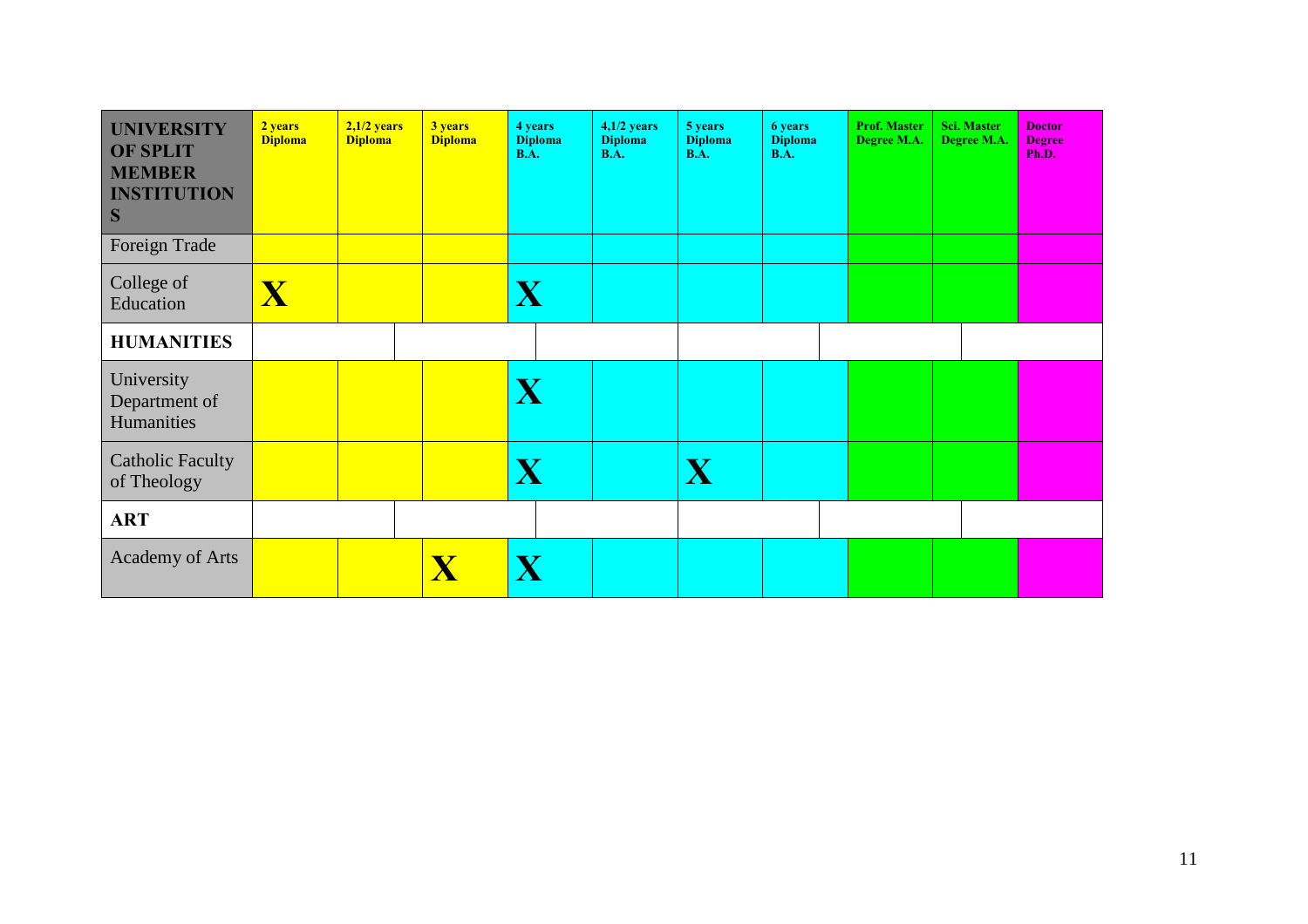| <b>UNIVERSITY</b><br><b>OF SPLIT</b><br><b>MEMBER</b><br><b>INSTITUTION</b><br>S<br>Foreign Trade | 2 years<br><b>Diploma</b> | $2,1/2$ years<br><b>Diploma</b> | 3 years<br><b>Diploma</b> | 4 years<br><b>Diploma</b><br><b>B.A.</b> | $4,1/2$ years<br><b>Diploma</b><br><b>B.A.</b> | 5 years<br><b>Diploma</b><br><b>B.A.</b> | <b>6 years</b><br><b>Diploma</b><br><b>B.A.</b> | <b>Prof. Master</b><br>Degree M.A. | <b>Sci. Master</b><br>Degree M.A. | <b>Doctor</b><br><b>Degree</b><br>Ph.D. |
|---------------------------------------------------------------------------------------------------|---------------------------|---------------------------------|---------------------------|------------------------------------------|------------------------------------------------|------------------------------------------|-------------------------------------------------|------------------------------------|-----------------------------------|-----------------------------------------|
| College of<br>Education                                                                           | $\overline{\textbf{X}}$   |                                 |                           | X                                        |                                                |                                          |                                                 |                                    |                                   |                                         |
| <b>HUMANITIES</b>                                                                                 |                           |                                 |                           |                                          |                                                |                                          |                                                 |                                    |                                   |                                         |
| University<br>Department of<br>Humanities                                                         |                           |                                 |                           | X                                        |                                                |                                          |                                                 |                                    |                                   |                                         |
| <b>Catholic Faculty</b><br>of Theology                                                            |                           |                                 |                           | X                                        |                                                | X                                        |                                                 |                                    |                                   |                                         |
| <b>ART</b>                                                                                        |                           |                                 |                           |                                          |                                                |                                          |                                                 |                                    |                                   |                                         |
| <b>Academy of Arts</b>                                                                            |                           |                                 | $\overline{\mathbf{X}}$   |                                          |                                                |                                          |                                                 |                                    |                                   |                                         |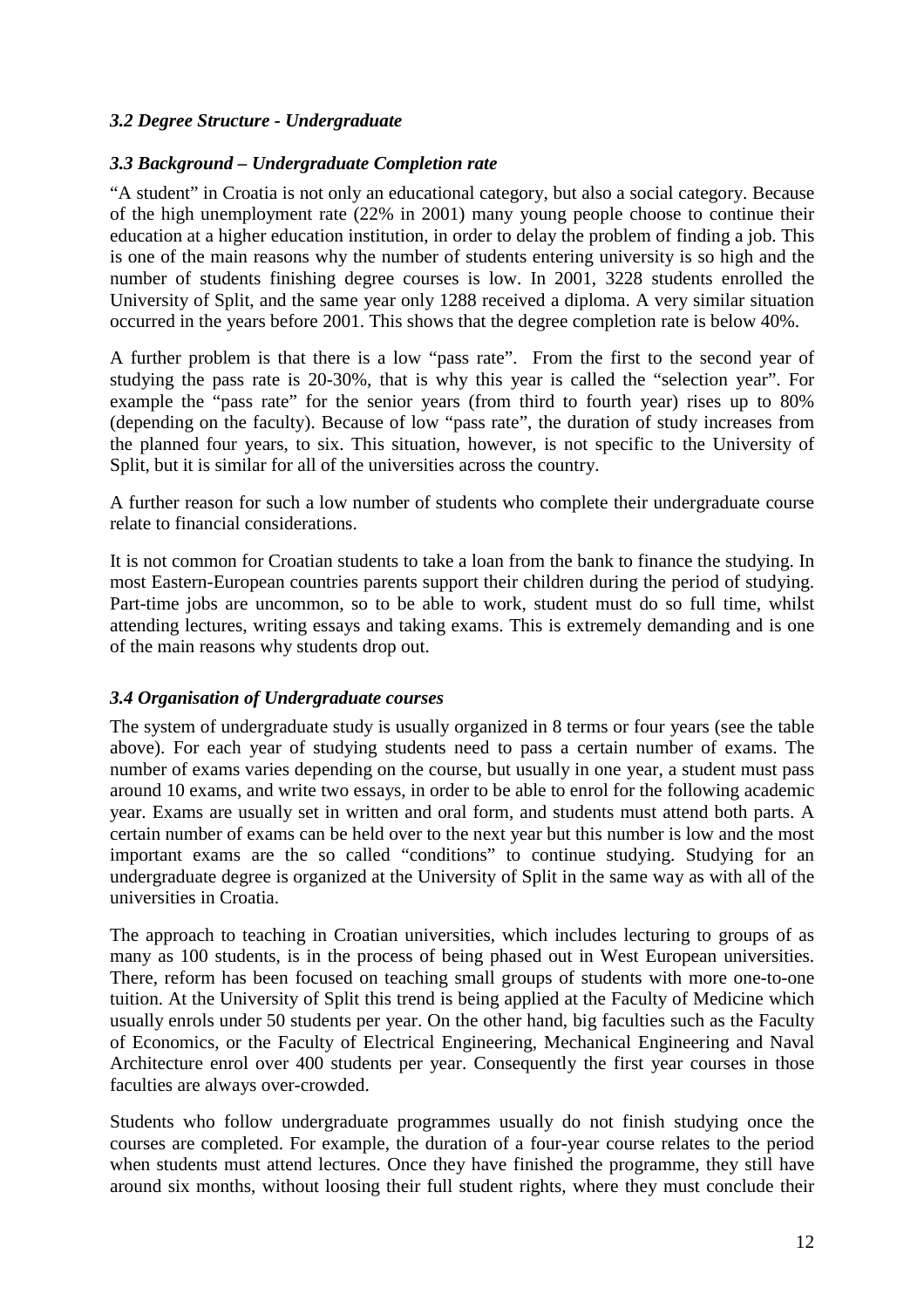### *3.2 Degree Structure - Undergraduate*

#### *3.3 Background – Undergraduate Completion rate*

"A student" in Croatia is not only an educational category, but also a social category. Because of the high unemployment rate (22% in 2001) many young people choose to continue their education at a higher education institution, in order to delay the problem of finding a job. This is one of the main reasons why the number of students entering university is so high and the number of students finishing degree courses is low. In 2001, 3228 students enrolled the University of Split, and the same year only 1288 received a diploma. A very similar situation occurred in the years before 2001. This shows that the degree completion rate is below 40%.

A further problem is that there is a low "pass rate". From the first to the second year of studying the pass rate is 20-30%, that is why this year is called the "selection year". For example the "pass rate" for the senior years (from third to fourth year) rises up to 80% (depending on the faculty). Because of low "pass rate", the duration of study increases from the planned four years, to six. This situation, however, is not specific to the University of Split, but it is similar for all of the universities across the country.

A further reason for such a low number of students who complete their undergraduate course relate to financial considerations.

It is not common for Croatian students to take a loan from the bank to finance the studying. In most Eastern-European countries parents support their children during the period of studying. Part-time jobs are uncommon, so to be able to work, student must do so full time, whilst attending lectures, writing essays and taking exams. This is extremely demanding and is one of the main reasons why students drop out.

#### *3.4 Organisation of Undergraduate courses*

The system of undergraduate study is usually organized in 8 terms or four years (see the table above). For each year of studying students need to pass a certain number of exams. The number of exams varies depending on the course, but usually in one year, a student must pass around 10 exams, and write two essays, in order to be able to enrol for the following academic year. Exams are usually set in written and oral form, and students must attend both parts. A certain number of exams can be held over to the next year but this number is low and the most important exams are the so called "conditions" to continue studying. Studying for an undergraduate degree is organized at the University of Split in the same way as with all of the universities in Croatia.

The approach to teaching in Croatian universities, which includes lecturing to groups of as many as 100 students, is in the process of being phased out in West European universities. There, reform has been focused on teaching small groups of students with more one-to-one tuition. At the University of Split this trend is being applied at the Faculty of Medicine which usually enrols under 50 students per year. On the other hand, big faculties such as the Faculty of Economics, or the Faculty of Electrical Engineering, Mechanical Engineering and Naval Architecture enrol over 400 students per year. Consequently the first year courses in those faculties are always over-crowded.

Students who follow undergraduate programmes usually do not finish studying once the courses are completed. For example, the duration of a four-year course relates to the period when students must attend lectures. Once they have finished the programme, they still have around six months, without loosing their full student rights, where they must conclude their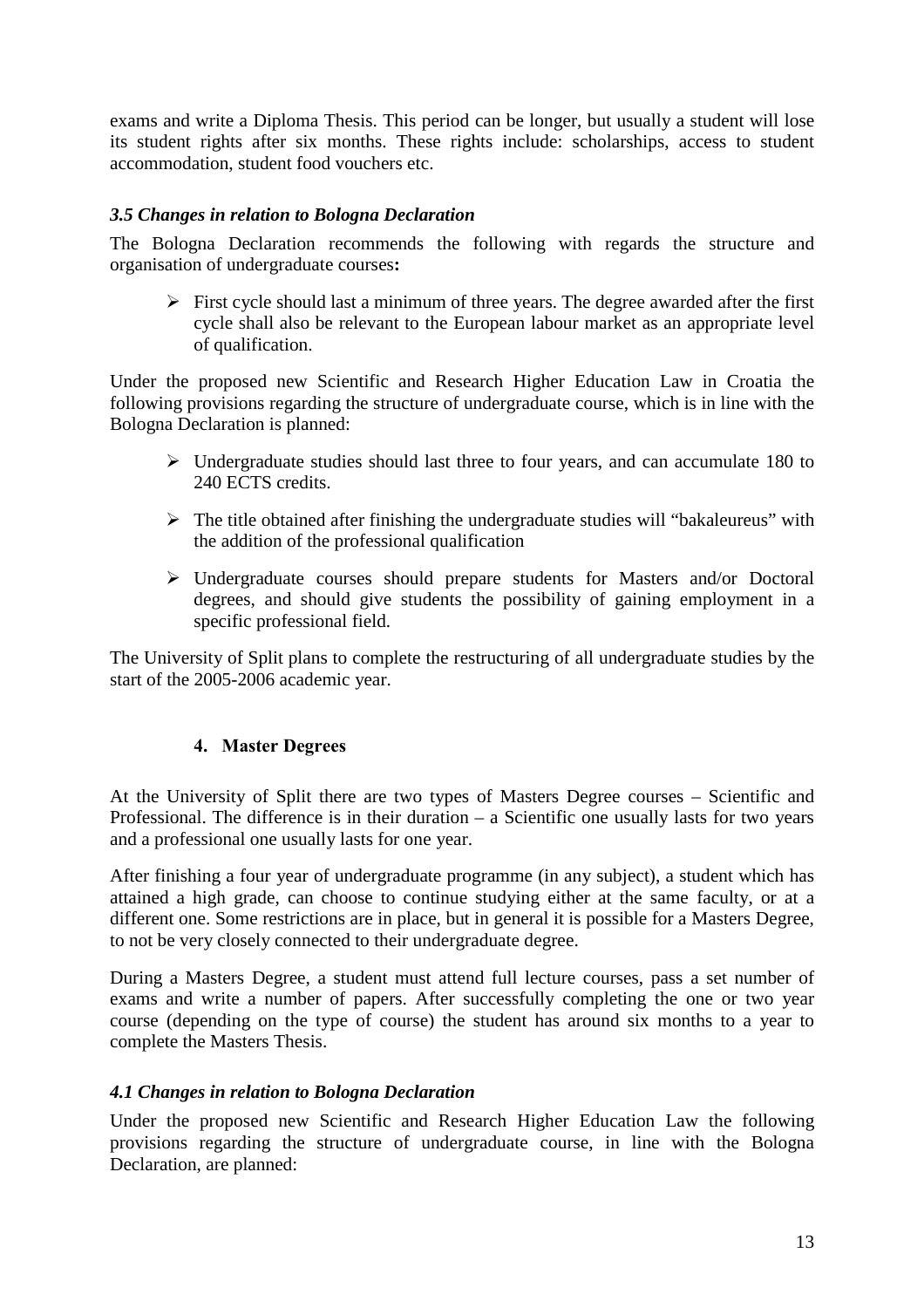exams and write a Diploma Thesis. This period can be longer, but usually a student will lose its student rights after six months. These rights include: scholarships, access to student accommodation, student food vouchers etc.

#### *3.5 Changes in relation to Bologna Declaration*

The Bologna Declaration recommends the following with regards the structure and organisation of undergraduate courses**:**

 $\triangleright$  First cycle should last a minimum of three years. The degree awarded after the first cycle shall also be relevant to the European labour market as an appropriate level of qualification.

Under the proposed new Scientific and Research Higher Education Law in Croatia the following provisions regarding the structure of undergraduate course, which is in line with the Bologna Declaration is planned:

- $\triangleright$  Undergraduate studies should last three to four years, and can accumulate 180 to 240 ECTS credits.
- $\triangleright$  The title obtained after finishing the undergraduate studies will "bakaleureus" with the addition of the professional qualification
- $\triangleright$  Undergraduate courses should prepare students for Masters and/or Doctoral degrees, and should give students the possibility of gaining employment in a specific professional field.

The University of Split plans to complete the restructuring of all undergraduate studies by the start of the 2005-2006 academic year.

#### **4. Master Degrees**

At the University of Split there are two types of Masters Degree courses – Scientific and Professional. The difference is in their duration – a Scientific one usually lasts for two years and a professional one usually lasts for one year.

After finishing a four year of undergraduate programme (in any subject), a student which has attained a high grade, can choose to continue studying either at the same faculty, or at a different one. Some restrictions are in place, but in general it is possible for a Masters Degree, to not be very closely connected to their undergraduate degree.

During a Masters Degree, a student must attend full lecture courses, pass a set number of exams and write a number of papers. After successfully completing the one or two year course (depending on the type of course) the student has around six months to a year to complete the Masters Thesis.

#### *4.1 Changes in relation to Bologna Declaration*

Under the proposed new Scientific and Research Higher Education Law the following provisions regarding the structure of undergraduate course, in line with the Bologna Declaration, are planned: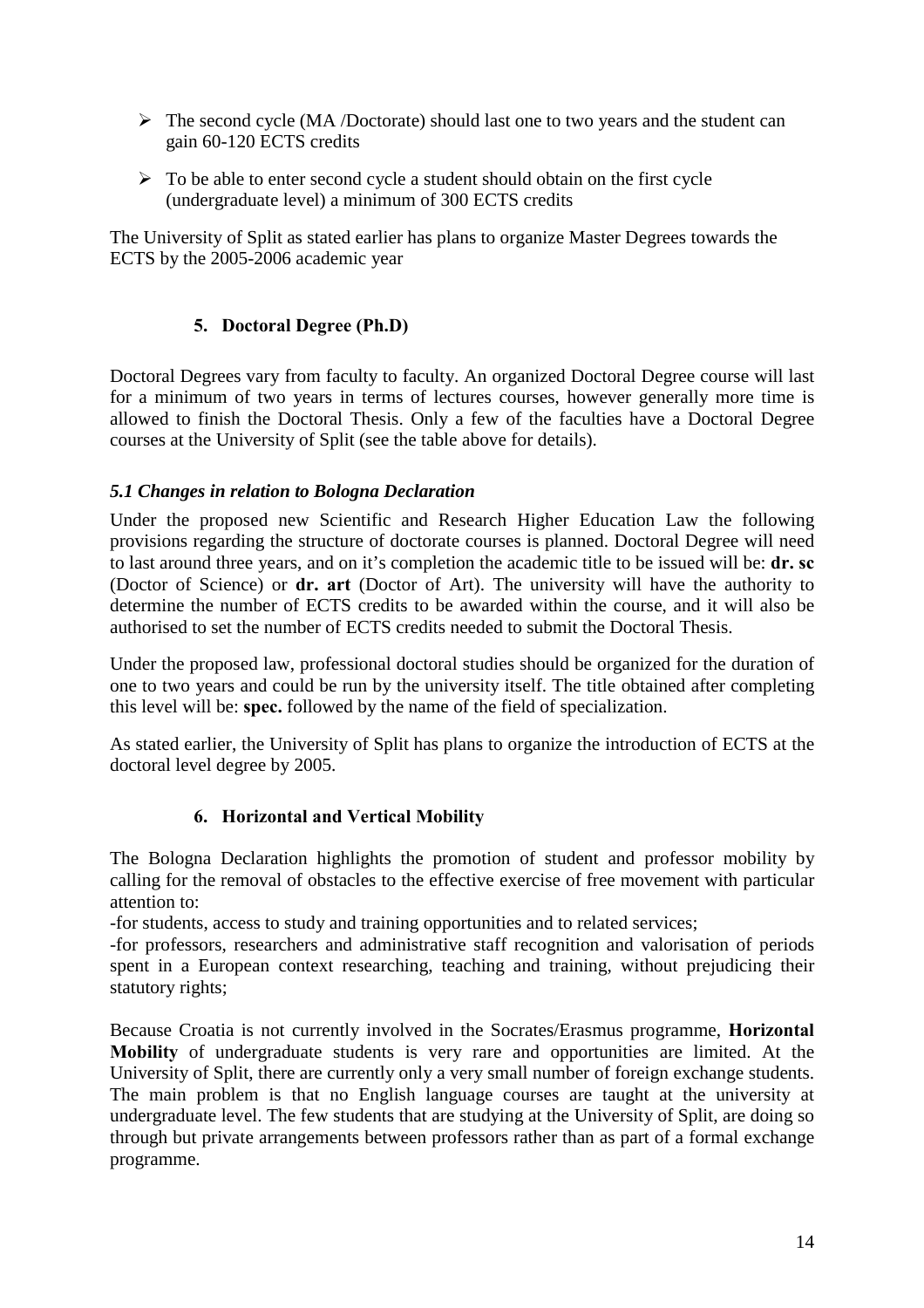- $\triangleright$  The second cycle (MA /Doctorate) should last one to two years and the student can gain 60-120 ECTS credits
- $\triangleright$  To be able to enter second cycle a student should obtain on the first cycle (undergraduate level) a minimum of 300 ECTS credits

The University of Split as stated earlier has plans to organize Master Degrees towards the ECTS by the 2005-2006 academic year

## **5. Doctoral Degree (Ph.D)**

Doctoral Degrees vary from faculty to faculty. An organized Doctoral Degree course will last for a minimum of two years in terms of lectures courses, however generally more time is allowed to finish the Doctoral Thesis. Only a few of the faculties have a Doctoral Degree courses at the University of Split (see the table above for details).

#### *5.1 Changes in relation to Bologna Declaration*

Under the proposed new Scientific and Research Higher Education Law the following provisions regarding the structure of doctorate courses is planned. Doctoral Degree will need to last around three years, and on it's completion the academic title to be issued will be: **dr. sc** (Doctor of Science) or **dr. art** (Doctor of Art). The university will have the authority to determine the number of ECTS credits to be awarded within the course, and it will also be authorised to set the number of ECTS credits needed to submit the Doctoral Thesis.

Under the proposed law, professional doctoral studies should be organized for the duration of one to two years and could be run by the university itself. The title obtained after completing this level will be: **spec.** followed by the name of the field of specialization.

As stated earlier, the University of Split has plans to organize the introduction of ECTS at the doctoral level degree by 2005.

## **6. Horizontal and Vertical Mobility**

The Bologna Declaration highlights the promotion of student and professor mobility by calling for the removal of obstacles to the effective exercise of free movement with particular attention to:

-for students, access to study and training opportunities and to related services;

-for professors, researchers and administrative staff recognition and valorisation of periods spent in a European context researching, teaching and training, without prejudicing their statutory rights;

Because Croatia is not currently involved in the Socrates/Erasmus programme, **Horizontal Mobility** of undergraduate students is very rare and opportunities are limited. At the University of Split, there are currently only a very small number of foreign exchange students. The main problem is that no English language courses are taught at the university at undergraduate level. The few students that are studying at the University of Split, are doing so through but private arrangements between professors rather than as part of a formal exchange programme.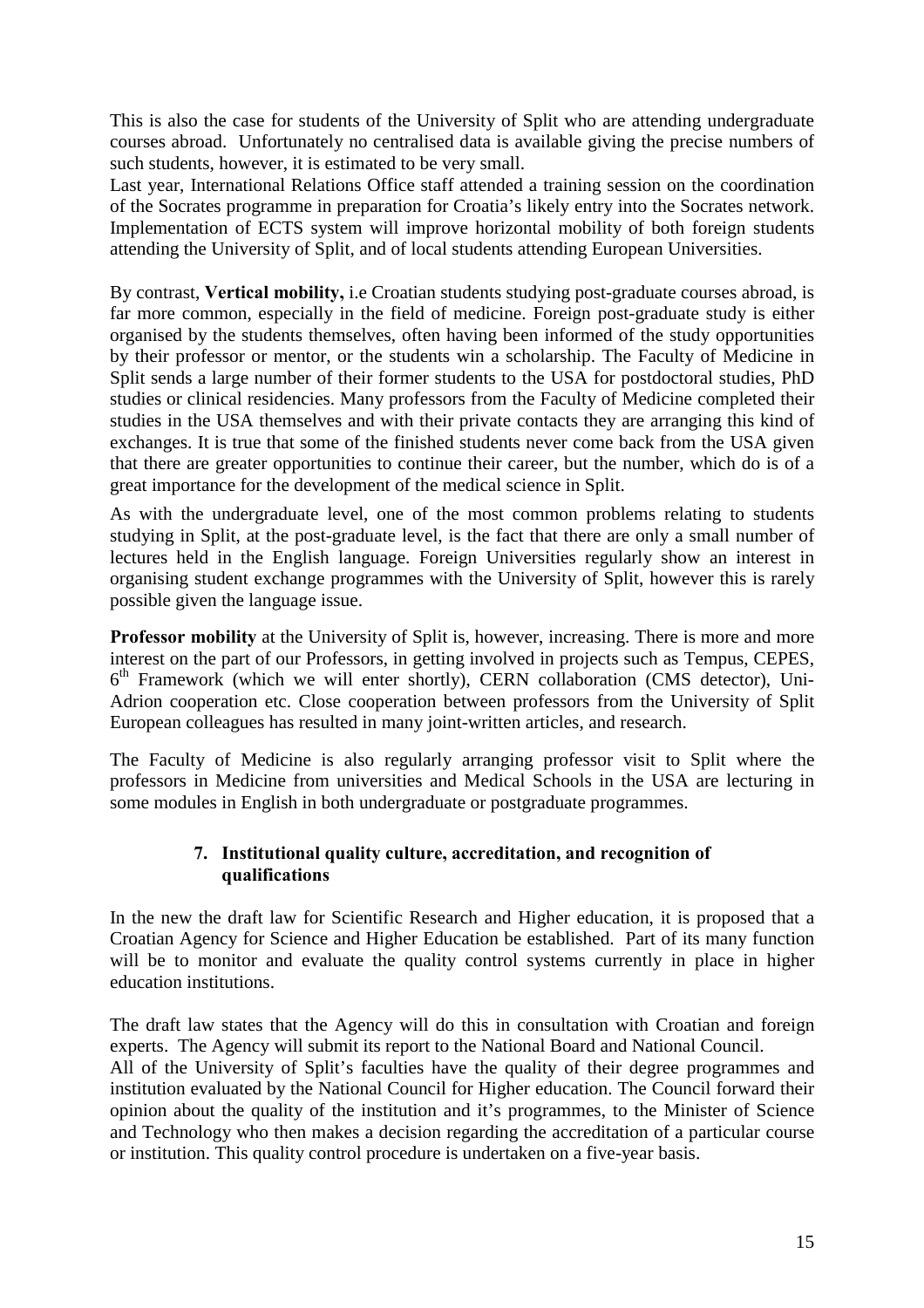This is also the case for students of the University of Split who are attending undergraduate courses abroad. Unfortunately no centralised data is available giving the precise numbers of such students, however, it is estimated to be very small.

Last year, International Relations Office staff attended a training session on the coordination of the Socrates programme in preparation for Croatia's likely entry into the Socrates network. Implementation of ECTS system will improve horizontal mobility of both foreign students attending the University of Split, and of local students attending European Universities.

By contrast, **Vertical mobility,** i.e Croatian students studying post-graduate courses abroad, is far more common, especially in the field of medicine. Foreign post-graduate study is either organised by the students themselves, often having been informed of the study opportunities by their professor or mentor, or the students win a scholarship. The Faculty of Medicine in Split sends a large number of their former students to the USA for postdoctoral studies, PhD studies or clinical residencies. Many professors from the Faculty of Medicine completed their studies in the USA themselves and with their private contacts they are arranging this kind of exchanges. It is true that some of the finished students never come back from the USA given that there are greater opportunities to continue their career, but the number, which do is of a great importance for the development of the medical science in Split.

As with the undergraduate level, one of the most common problems relating to students studying in Split, at the post-graduate level, is the fact that there are only a small number of lectures held in the English language. Foreign Universities regularly show an interest in organising student exchange programmes with the University of Split, however this is rarely possible given the language issue.

**Professor mobility** at the University of Split is, however, increasing. There is more and more interest on the part of our Professors, in getting involved in projects such as Tempus, CEPES,  $6<sup>th</sup>$  Framework (which we will enter shortly), CERN collaboration (CMS detector), Uni-Adrion cooperation etc. Close cooperation between professors from the University of Split European colleagues has resulted in many joint-written articles, and research.

The Faculty of Medicine is also regularly arranging professor visit to Split where the professors in Medicine from universities and Medical Schools in the USA are lecturing in some modules in English in both undergraduate or postgraduate programmes.

### **7. Institutional quality culture, accreditation, and recognition of qualifications**

In the new the draft law for Scientific Research and Higher education, it is proposed that a Croatian Agency for Science and Higher Education be established. Part of its many function will be to monitor and evaluate the quality control systems currently in place in higher education institutions.

The draft law states that the Agency will do this in consultation with Croatian and foreign experts. The Agency will submit its report to the National Board and National Council. All of the University of Split's faculties have the quality of their degree programmes and institution evaluated by the National Council for Higher education. The Council forward their opinion about the quality of the institution and it's programmes, to the Minister of Science and Technology who then makes a decision regarding the accreditation of a particular course or institution. This quality control procedure is undertaken on a five-year basis.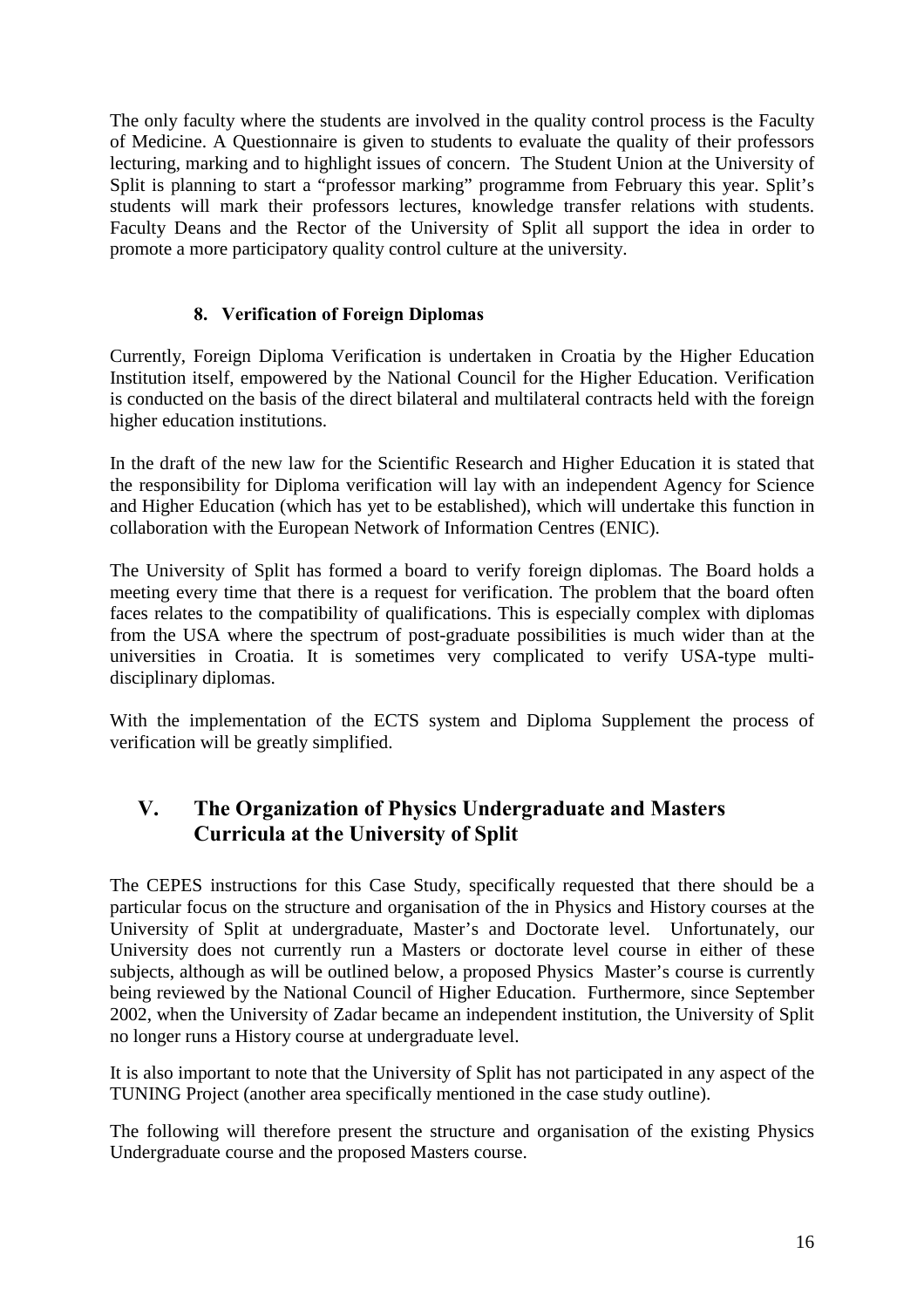The only faculty where the students are involved in the quality control process is the Faculty of Medicine. A Questionnaire is given to students to evaluate the quality of their professors lecturing, marking and to highlight issues of concern. The Student Union at the University of Split is planning to start a "professor marking" programme from February this year. Split's students will mark their professors lectures, knowledge transfer relations with students. Faculty Deans and the Rector of the University of Split all support the idea in order to promote a more participatory quality control culture at the university.

## **8. Verification of Foreign Diplomas**

Currently, Foreign Diploma Verification is undertaken in Croatia by the Higher Education Institution itself, empowered by the National Council for the Higher Education. Verification is conducted on the basis of the direct bilateral and multilateral contracts held with the foreign higher education institutions.

In the draft of the new law for the Scientific Research and Higher Education it is stated that the responsibility for Diploma verification will lay with an independent Agency for Science and Higher Education (which has yet to be established), which will undertake this function in collaboration with the European Network of Information Centres (ENIC).

The University of Split has formed a board to verify foreign diplomas. The Board holds a meeting every time that there is a request for verification. The problem that the board often faces relates to the compatibility of qualifications. This is especially complex with diplomas from the USA where the spectrum of post-graduate possibilities is much wider than at the universities in Croatia. It is sometimes very complicated to verify USA-type multidisciplinary diplomas.

With the implementation of the ECTS system and Diploma Supplement the process of verification will be greatly simplified.

# **V. The Organization of Physics Undergraduate and Masters Curricula at the University of Split**

The CEPES instructions for this Case Study, specifically requested that there should be a particular focus on the structure and organisation of the in Physics and History courses at the University of Split at undergraduate, Master's and Doctorate level. Unfortunately, our University does not currently run a Masters or doctorate level course in either of these subjects, although as will be outlined below, a proposed Physics Master's course is currently being reviewed by the National Council of Higher Education. Furthermore, since September 2002, when the University of Zadar became an independent institution, the University of Split no longer runs a History course at undergraduate level.

It is also important to note that the University of Split has not participated in any aspect of the TUNING Project (another area specifically mentioned in the case study outline).

The following will therefore present the structure and organisation of the existing Physics Undergraduate course and the proposed Masters course.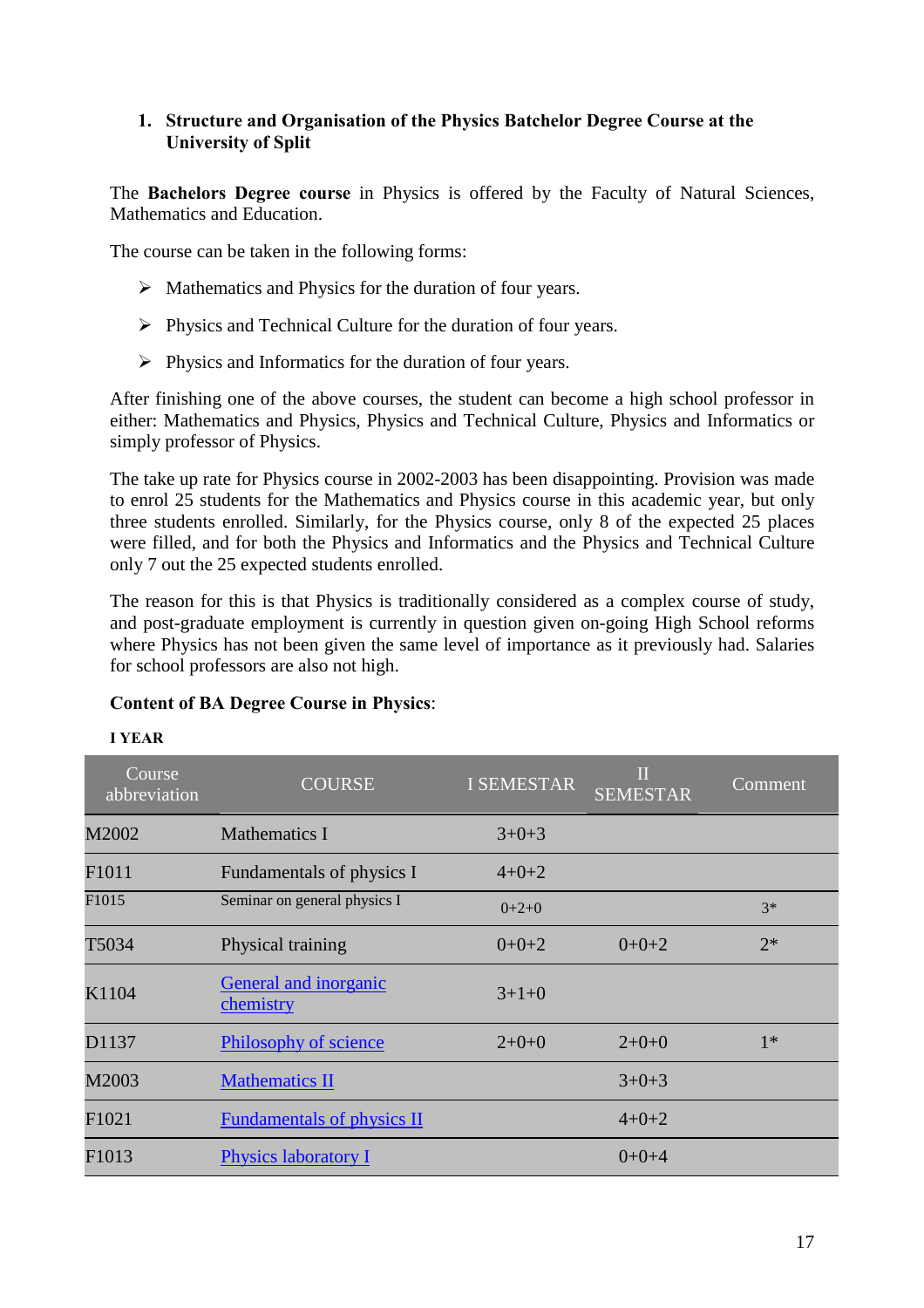### **1. Structure and Organisation of the Physics Batchelor Degree Course at the University of Split**

The **Bachelors Degree course** in Physics is offered by the Faculty of Natural Sciences, Mathematics and Education.

The course can be taken in the following forms:

- $\triangleright$  Mathematics and Physics for the duration of four years.
- $\triangleright$  Physics and Technical Culture for the duration of four years.
- $\triangleright$  Physics and Informatics for the duration of four years.

After finishing one of the above courses, the student can become a high school professor in either: Mathematics and Physics, Physics and Technical Culture, Physics and Informatics or simply professor of Physics.

The take up rate for Physics course in 2002-2003 has been disappointing. Provision was made to enrol 25 students for the Mathematics and Physics course in this academic year, but only three students enrolled. Similarly, for the Physics course, only 8 of the expected 25 places were filled, and for both the Physics and Informatics and the Physics and Technical Culture only 7 out the 25 expected students enrolled.

The reason for this is that Physics is traditionally considered as a complex course of study, and post-graduate employment is currently in question given on-going High School reforms where Physics has not been given the same level of importance as it previously had. Salaries for school professors are also not high.

#### **Content of BA Degree Course in Physics**:

| Course<br>abbreviation | <b>COURSE</b>                      | <b>I SEMESTAR</b> | $\Pi$<br><b>SEMESTAR</b> | Comment |
|------------------------|------------------------------------|-------------------|--------------------------|---------|
| M2002                  | <b>Mathematics I</b>               | $3+0+3$           |                          |         |
| F <sub>1011</sub>      | Fundamentals of physics I          | $4 + 0 + 2$       |                          |         |
| F1015                  | Seminar on general physics I       | $0+2+0$           |                          | $3*$    |
| T5034                  | Physical training                  | $0+0+2$           | $0+0+2$                  | $2*$    |
| K1104                  | General and inorganic<br>chemistry | $3+1+0$           |                          |         |
| D1137                  | <b>Philosophy of science</b>       | $2+0+0$           | $2+0+0$                  | $1*$    |
| M2003                  | <b>Mathematics II</b>              |                   | $3+0+3$                  |         |
| F1021                  | <b>Fundamentals of physics II</b>  |                   | $4 + 0 + 2$              |         |
| F <sub>1013</sub>      | <b>Physics laboratory I</b>        |                   | $0+0+4$                  |         |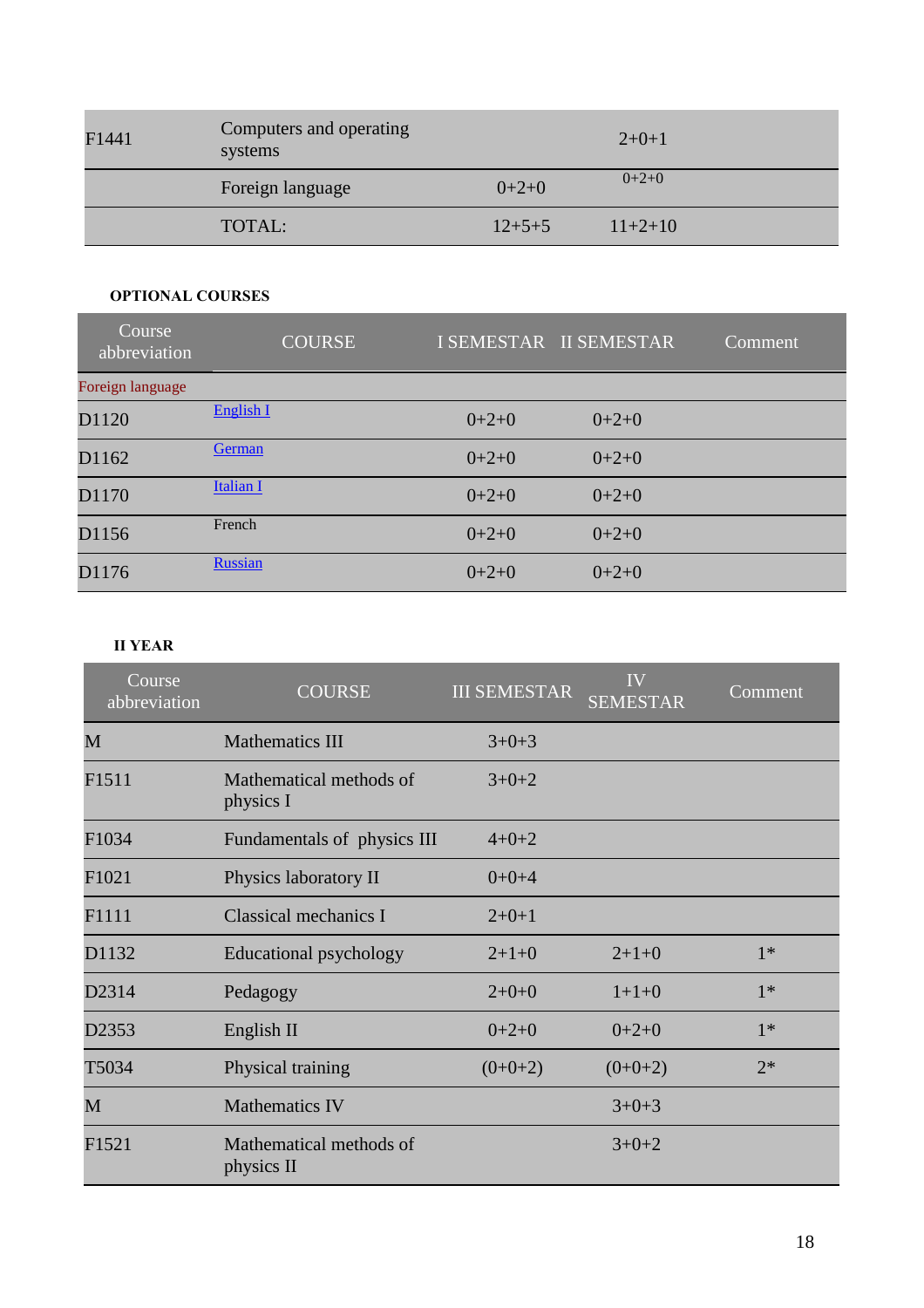| F1441 | Computers and operating<br>systems |              | $2+0+1$   |
|-------|------------------------------------|--------------|-----------|
|       | Foreign language                   | $0+2+0$      | $0+2+0$   |
|       | TOTAL:                             | $12 + 5 + 5$ | $11+2+10$ |

#### **OPTIONAL COURSES**

| Course<br>abbreviation | <b>COURSE</b>    |         | I SEMESTAR II SEMESTAR | Comment |
|------------------------|------------------|---------|------------------------|---------|
| Foreign language       |                  |         |                        |         |
| D1120                  | English I        | $0+2+0$ | $0+2+0$                |         |
| D1162                  | German           | $0+2+0$ | $0+2+0$                |         |
| D1170                  | <b>Italian I</b> | $0+2+0$ | $0+2+0$                |         |
| D1156                  | French           | $0+2+0$ | $0+2+0$                |         |
| D1176                  | <b>Russian</b>   | $0+2+0$ | $0+2+0$                |         |

#### **II YEAR**

| $\overline{\text{Course}}$<br>abbreviation | <b>COURSE</b>                         | <b>III SEMESTAR</b> | <b>IV</b><br><b>SEMESTAR</b> | Comment |
|--------------------------------------------|---------------------------------------|---------------------|------------------------------|---------|
| M                                          | <b>Mathematics III</b>                | $3+0+3$             |                              |         |
| F1511                                      | Mathematical methods of<br>physics I  | $3+0+2$             |                              |         |
| F1034                                      | Fundamentals of physics III           | $4 + 0 + 2$         |                              |         |
| F1021                                      | Physics laboratory II                 | $0+0+4$             |                              |         |
| F1111                                      | Classical mechanics I                 | $2+0+1$             |                              |         |
| D1132                                      | Educational psychology                | $2+1+0$             | $2+1+0$                      | $1*$    |
| D2314                                      | Pedagogy                              | $2+0+0$             | $1+1+0$                      | $1*$    |
| D2353                                      | English II                            | $0+2+0$             | $0+2+0$                      | $1*$    |
| T5034                                      | Physical training                     | $(0+0+2)$           | $(0+0+2)$                    | $2*$    |
| M                                          | <b>Mathematics IV</b>                 |                     | $3+0+3$                      |         |
| F1521                                      | Mathematical methods of<br>physics II |                     | $3+0+2$                      |         |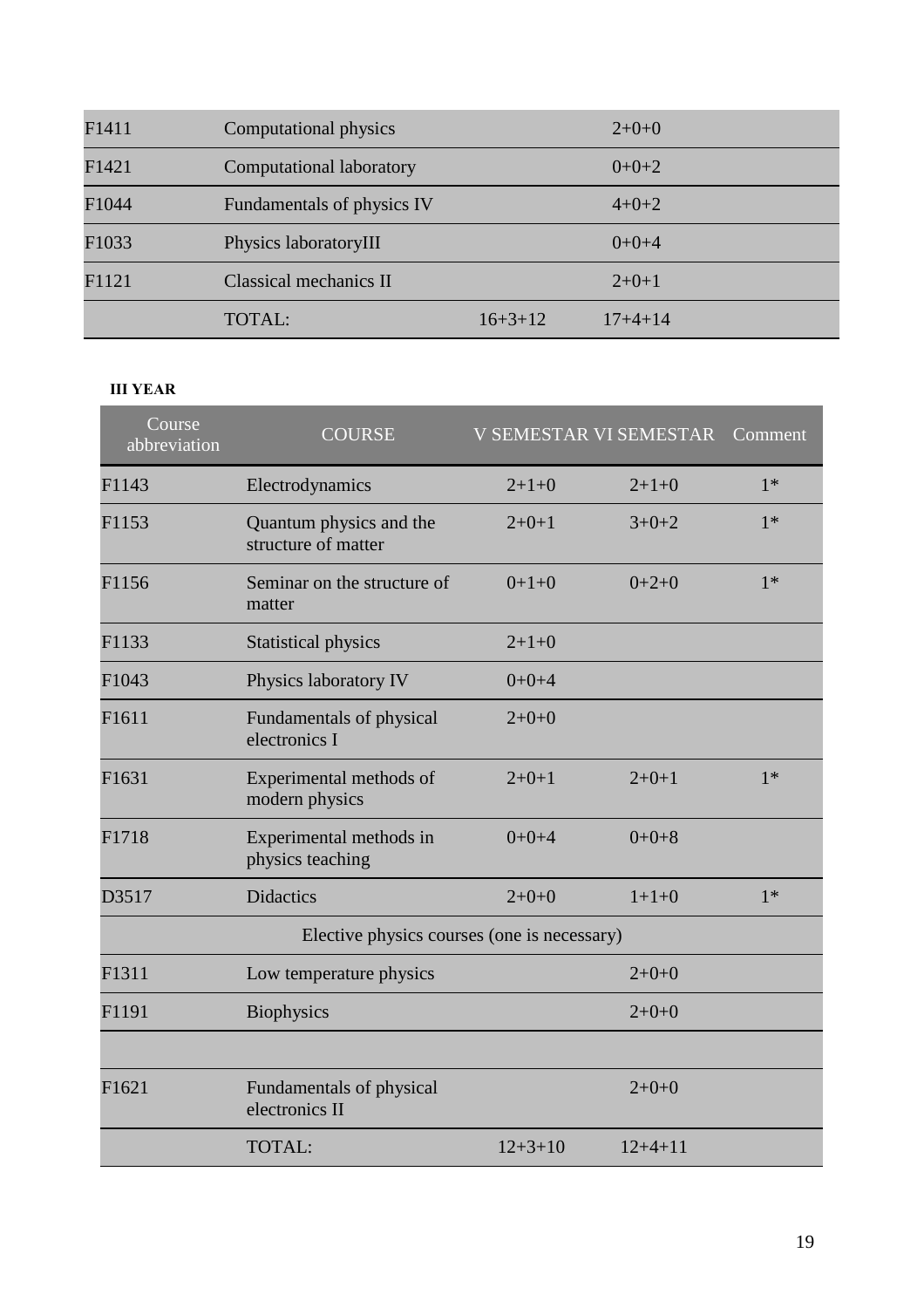| F1411 | Computational physics      |           | $2+0+0$     |
|-------|----------------------------|-----------|-------------|
| F1421 | Computational laboratory   |           | $0+0+2$     |
| F1044 | Fundamentals of physics IV |           | $4 + 0 + 2$ |
| F1033 | Physics laboratoryIII      |           | $0+0+4$     |
| F1121 | Classical mechanics II     |           | $2+0+1$     |
|       | <b>TOTAL:</b>              | $16+3+12$ | $17+4+14$   |

#### **III YEAR**

| Course<br>abbreviation | <b>COURSE</b>                                  |               | <b>V SEMESTAR VI SEMESTAR</b> | Comment |
|------------------------|------------------------------------------------|---------------|-------------------------------|---------|
| F1143                  | Electrodynamics                                | $2+1+0$       | $2+1+0$                       | $1*$    |
| F1153                  | Quantum physics and the<br>structure of matter | $2+0+1$       | $3+0+2$                       | $1*$    |
| F1156                  | Seminar on the structure of<br>matter          | $0+1+0$       | $0+2+0$                       | $1*$    |
| F1133                  | <b>Statistical physics</b>                     | $2+1+0$       |                               |         |
| F1043                  | Physics laboratory IV                          | $0+0+4$       |                               |         |
| F1611                  | Fundamentals of physical<br>electronics I      | $2+0+0$       |                               |         |
| F1631                  | Experimental methods of<br>modern physics      | $2+0+1$       | $2+0+1$                       | $1*$    |
| F1718                  | Experimental methods in<br>physics teaching    | $0+0+4$       | $0+0+8$                       |         |
| D3517                  | <b>Didactics</b>                               | $2+0+0$       | $1+1+0$                       | $1*$    |
|                        | Elective physics courses (one is necessary)    |               |                               |         |
| F1311                  | Low temperature physics                        |               | $2+0+0$                       |         |
| F1191                  | <b>Biophysics</b>                              |               | $2+0+0$                       |         |
|                        |                                                |               |                               |         |
| F1621                  | Fundamentals of physical<br>electronics II     |               | $2+0+0$                       |         |
|                        | TOTAL:                                         | $12 + 3 + 10$ | $12+4+11$                     |         |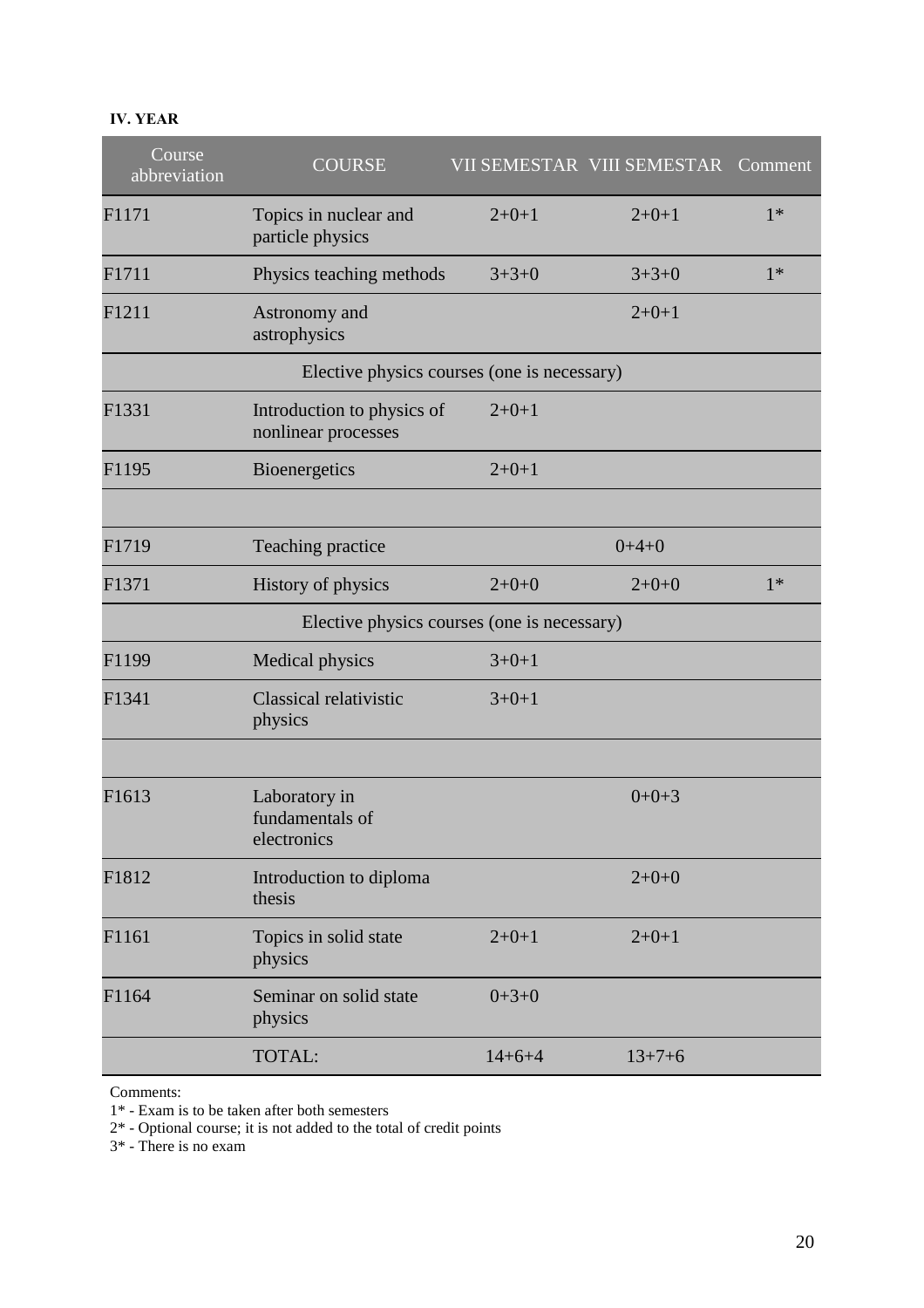#### **IV. YEAR**

| Course<br>abbreviation | <b>COURSE</b>                                     |              | VII SEMESTAR VIII SEMESTAR | Comment |
|------------------------|---------------------------------------------------|--------------|----------------------------|---------|
| F1171                  | Topics in nuclear and<br>particle physics         | $2+0+1$      | $2+0+1$                    | $1*$    |
| F1711                  | Physics teaching methods                          | $3+3+0$      | $3 + 3 + 0$                | $1*$    |
| F1211                  | Astronomy and<br>astrophysics                     |              | $2+0+1$                    |         |
|                        | Elective physics courses (one is necessary)       |              |                            |         |
| F1331                  | Introduction to physics of<br>nonlinear processes | $2+0+1$      |                            |         |
| F1195                  | <b>Bioenergetics</b>                              | $2+0+1$      |                            |         |
| F1719                  | Teaching practice                                 |              | $0+4+0$                    |         |
| F1371                  | History of physics                                | $2+0+0$      | $2+0+0$                    | $1*$    |
|                        | Elective physics courses (one is necessary)       |              |                            |         |
| F1199                  | <b>Medical physics</b>                            | $3+0+1$      |                            |         |
| F1341                  | Classical relativistic<br>physics                 | $3+0+1$      |                            |         |
|                        |                                                   |              |                            |         |
| F1613                  | Laboratory in<br>fundamentals of<br>electronics   |              | $0+0+3$                    |         |
| F1812                  | Introduction to diploma<br>thesis                 |              | $2+0+0$                    |         |
| F1161                  | Topics in solid state<br>physics                  | $2+0+1$      | $2+0+1$                    |         |
| F1164                  | Seminar on solid state<br>physics                 | $0+3+0$      |                            |         |
|                        | TOTAL:                                            | $14 + 6 + 4$ | $13 + 7 + 6$               |         |

Comments:

1\* - Exam is to be taken after both semesters

2\* - Optional course; it is not added to the total of credit points

3\* - There is no exam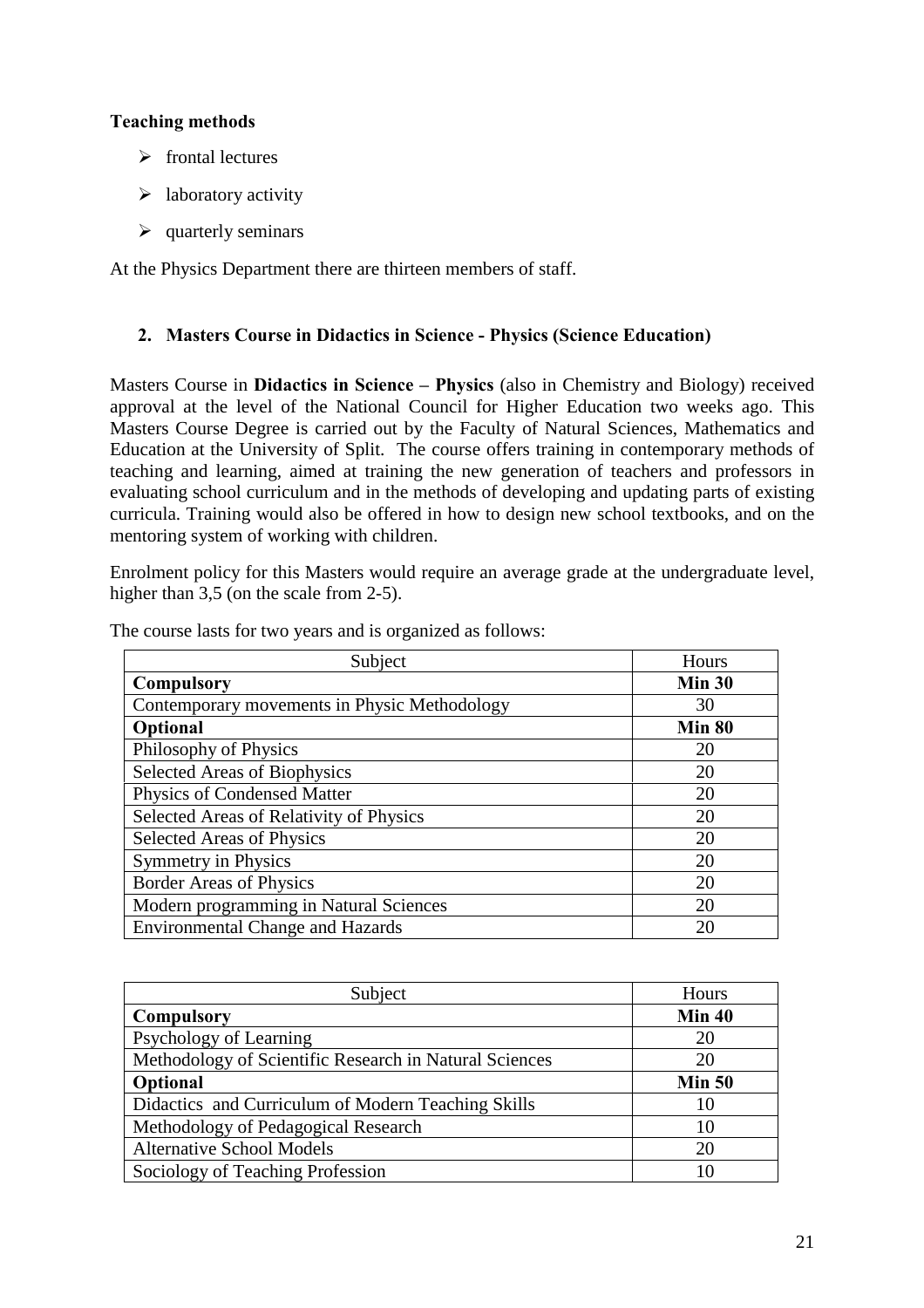### **Teaching methods**

- $\triangleright$  frontal lectures
- $\blacktriangleright$  laboratory activity
- $\triangleright$  quarterly seminars

At the Physics Department there are thirteen members of staff.

#### **2. Masters Course in Didactics in Science - Physics (Science Education)**

Masters Course in **Didactics in Science – Physics** (also in Chemistry and Biology) received approval at the level of the National Council for Higher Education two weeks ago. This Masters Course Degree is carried out by the Faculty of Natural Sciences, Mathematics and Education at the University of Split. The course offers training in contemporary methods of teaching and learning, aimed at training the new generation of teachers and professors in evaluating school curriculum and in the methods of developing and updating parts of existing curricula. Training would also be offered in how to design new school textbooks, and on the mentoring system of working with children.

Enrolment policy for this Masters would require an average grade at the undergraduate level, higher than 3,5 (on the scale from 2-5).

| Subject                                      | Hours         |
|----------------------------------------------|---------------|
| <b>Compulsory</b>                            | Min $30$      |
| Contemporary movements in Physic Methodology | 30            |
| Optional                                     | <b>Min 80</b> |
| Philosophy of Physics                        | 20            |
| Selected Areas of Biophysics                 | 20            |
| Physics of Condensed Matter                  | 20            |
| Selected Areas of Relativity of Physics      | 20            |
| Selected Areas of Physics                    | 20            |
| <b>Symmetry in Physics</b>                   | 20            |
| <b>Border Areas of Physics</b>               | 20            |
| Modern programming in Natural Sciences       | 20            |
| <b>Environmental Change and Hazards</b>      | 20            |

The course lasts for two years and is organized as follows:

| Subject                                                | Hours         |
|--------------------------------------------------------|---------------|
| <b>Compulsory</b>                                      | <b>Min 40</b> |
| Psychology of Learning                                 | 20            |
| Methodology of Scientific Research in Natural Sciences | 20            |
| Optional                                               | Min 50        |
| Didactics and Curriculum of Modern Teaching Skills     | 10            |
| Methodology of Pedagogical Research                    | 10            |
| <b>Alternative School Models</b>                       | 20            |
| Sociology of Teaching Profession                       | 10            |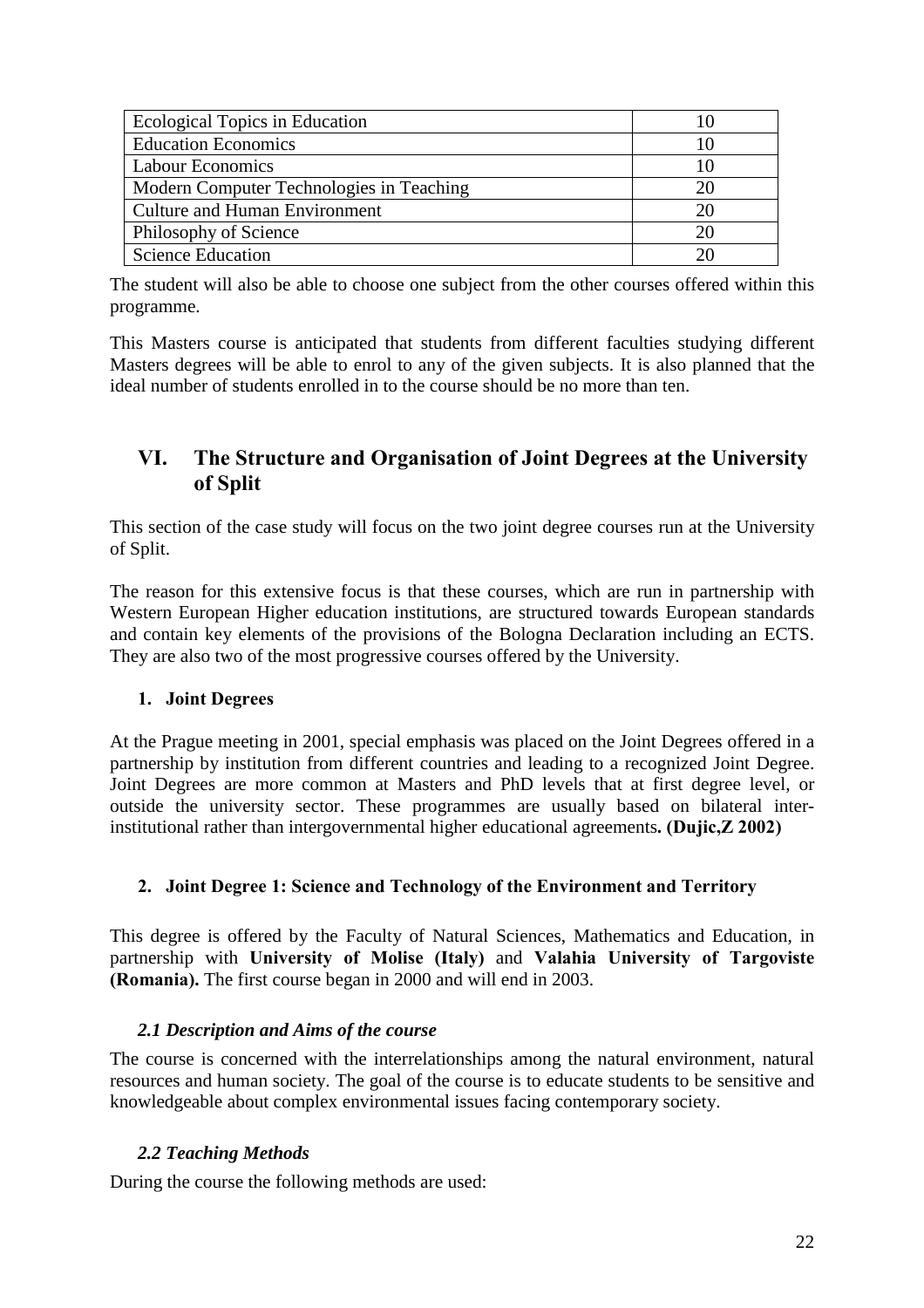| Ecological Topics in Education           | 10  |
|------------------------------------------|-----|
| <b>Education Economics</b>               |     |
| <b>Labour Economics</b>                  | 10  |
| Modern Computer Technologies in Teaching | 20  |
| <b>Culture and Human Environment</b>     | 20  |
| Philosophy of Science                    | 20  |
| <b>Science Education</b>                 | 2() |

The student will also be able to choose one subject from the other courses offered within this programme.

This Masters course is anticipated that students from different faculties studying different Masters degrees will be able to enrol to any of the given subjects. It is also planned that the ideal number of students enrolled in to the course should be no more than ten.

# **VI. The Structure and Organisation of Joint Degrees at the University of Split**

This section of the case study will focus on the two joint degree courses run at the University of Split.

The reason for this extensive focus is that these courses, which are run in partnership with Western European Higher education institutions, are structured towards European standards and contain key elements of the provisions of the Bologna Declaration including an ECTS. They are also two of the most progressive courses offered by the University.

#### **1. Joint Degrees**

At the Prague meeting in 2001, special emphasis was placed on the Joint Degrees offered in a partnership by institution from different countries and leading to a recognized Joint Degree. Joint Degrees are more common at Masters and PhD levels that at first degree level, or outside the university sector. These programmes are usually based on bilateral interinstitutional rather than intergovernmental higher educational agreements**. (Dujic,Z 2002)**

#### **2. Joint Degree 1: Science and Technology of the Environment and Territory**

This degree is offered by the Faculty of Natural Sciences, Mathematics and Education, in partnership with **University of Molise (Italy)** and **Valahia University of Targoviste (Romania).** The first course began in 2000 and will end in 2003.

#### *2.1 Description and Aims of the course*

The course is concerned with the interrelationships among the natural environment, natural resources and human society. The goal of the course is to educate students to be sensitive and knowledgeable about complex environmental issues facing contemporary society.

#### *2.2 Teaching Methods*

During the course the following methods are used: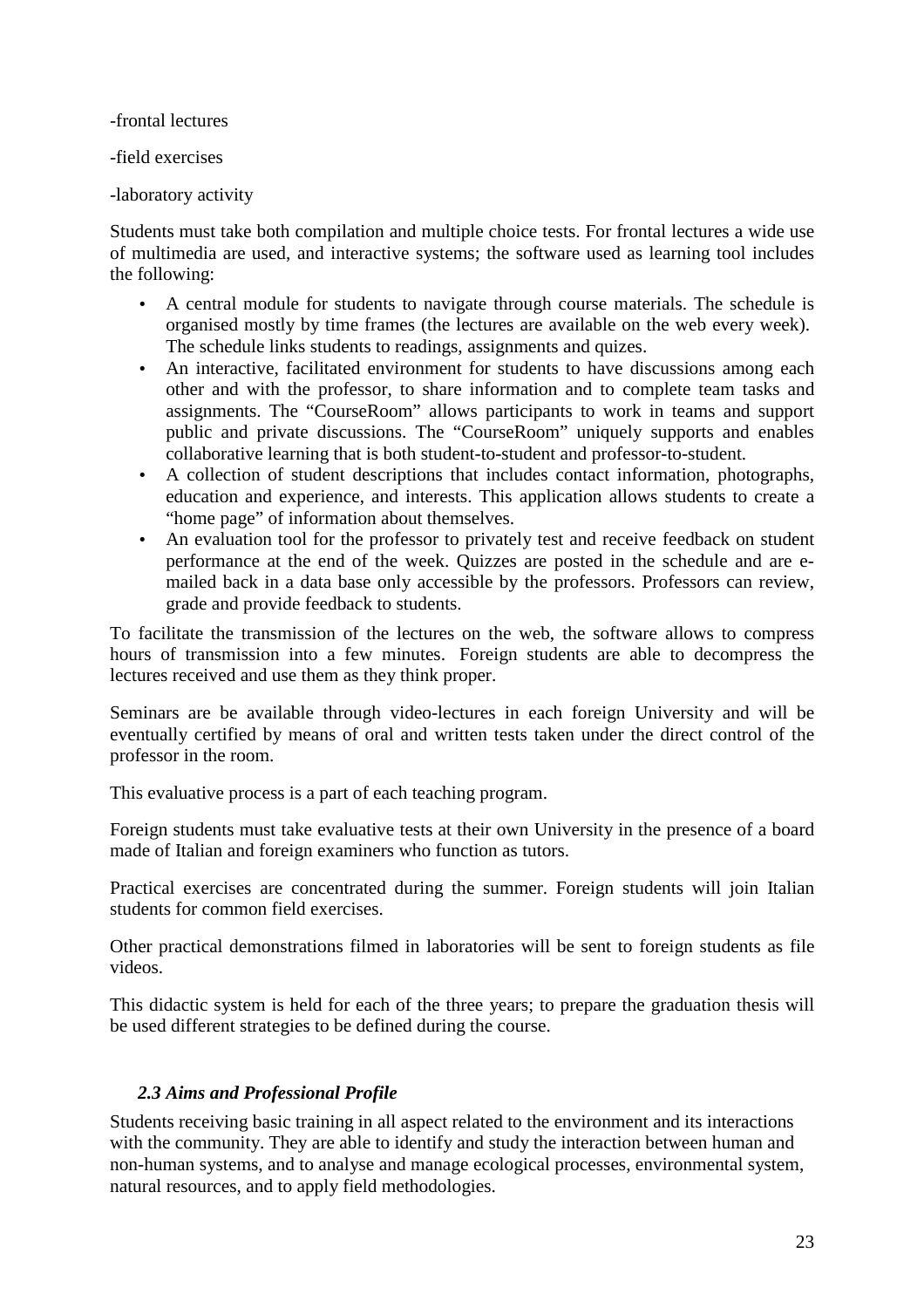-frontal lectures

-field exercises

-laboratory activity

Students must take both compilation and multiple choice tests. For frontal lectures a wide use of multimedia are used, and interactive systems; the software used as learning tool includes the following:

- A central module for students to navigate through course materials. The schedule is organised mostly by time frames (the lectures are available on the web every week). The schedule links students to readings, assignments and quizes.
- An interactive, facilitated environment for students to have discussions among each other and with the professor, to share information and to complete team tasks and assignments. The "CourseRoom" allows participants to work in teams and support public and private discussions. The "CourseRoom" uniquely supports and enables collaborative learning that is both student-to-student and professor-to-student.
- A collection of student descriptions that includes contact information, photographs, education and experience, and interests. This application allows students to create a "home page" of information about themselves.
- An evaluation tool for the professor to privately test and receive feedback on student performance at the end of the week. Quizzes are posted in the schedule and are emailed back in a data base only accessible by the professors. Professors can review, grade and provide feedback to students.

To facilitate the transmission of the lectures on the web, the software allows to compress hours of transmission into a few minutes. Foreign students are able to decompress the lectures received and use them as they think proper.

Seminars are be available through video-lectures in each foreign University and will be eventually certified by means of oral and written tests taken under the direct control of the professor in the room.

This evaluative process is a part of each teaching program.

Foreign students must take evaluative tests at their own University in the presence of a board made of Italian and foreign examiners who function as tutors.

Practical exercises are concentrated during the summer. Foreign students will join Italian students for common field exercises.

Other practical demonstrations filmed in laboratories will be sent to foreign students as file videos.

This didactic system is held for each of the three years; to prepare the graduation thesis will be used different strategies to be defined during the course.

#### *2.3 Aims and Professional Profile*

Students receiving basic training in all aspect related to the environment and its interactions with the community. They are able to identify and study the interaction between human and non-human systems, and to analyse and manage ecological processes, environmental system, natural resources, and to apply field methodologies.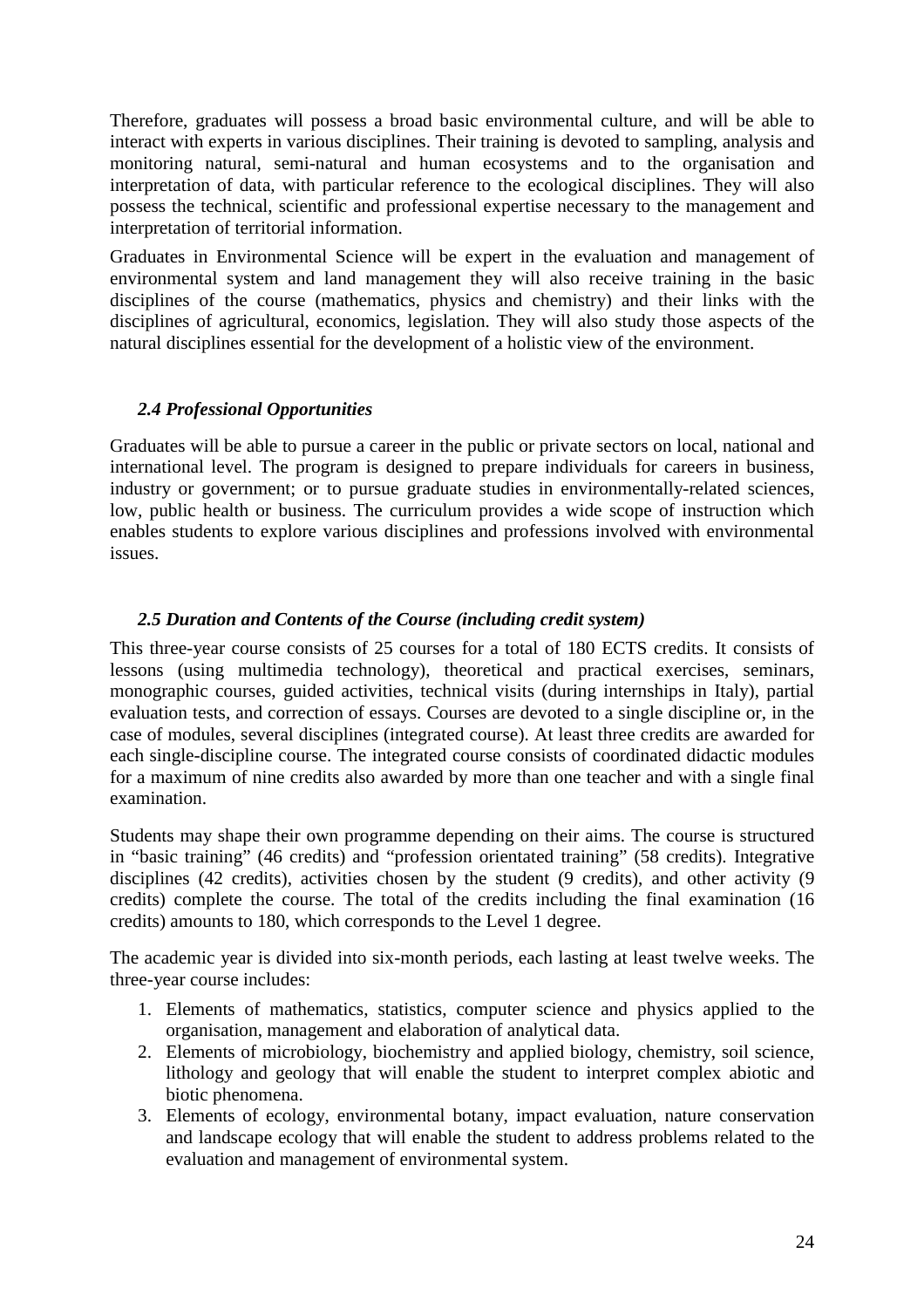Therefore, graduates will possess a broad basic environmental culture, and will be able to interact with experts in various disciplines. Their training is devoted to sampling, analysis and monitoring natural, semi-natural and human ecosystems and to the organisation and interpretation of data, with particular reference to the ecological disciplines. They will also possess the technical, scientific and professional expertise necessary to the management and interpretation of territorial information.

Graduates in Environmental Science will be expert in the evaluation and management of environmental system and land management they will also receive training in the basic disciplines of the course (mathematics, physics and chemistry) and their links with the disciplines of agricultural, economics, legislation. They will also study those aspects of the natural disciplines essential for the development of a holistic view of the environment.

#### *2.4 Professional Opportunities*

Graduates will be able to pursue a career in the public or private sectors on local, national and international level. The program is designed to prepare individuals for careers in business, industry or government; or to pursue graduate studies in environmentally-related sciences, low, public health or business. The curriculum provides a wide scope of instruction which enables students to explore various disciplines and professions involved with environmental issues.

#### *2.5 Duration and Contents of the Course (including credit system)*

This three-year course consists of 25 courses for a total of 180 ECTS credits. It consists of lessons (using multimedia technology), theoretical and practical exercises, seminars, monographic courses, guided activities, technical visits (during internships in Italy), partial evaluation tests, and correction of essays. Courses are devoted to a single discipline or, in the case of modules, several disciplines (integrated course). At least three credits are awarded for each single-discipline course. The integrated course consists of coordinated didactic modules for a maximum of nine credits also awarded by more than one teacher and with a single final examination.

Students may shape their own programme depending on their aims. The course is structured in "basic training" (46 credits) and "profession orientated training" (58 credits). Integrative disciplines (42 credits), activities chosen by the student (9 credits), and other activity (9 credits) complete the course. The total of the credits including the final examination (16 credits) amounts to 180, which corresponds to the Level 1 degree.

The academic year is divided into six-month periods, each lasting at least twelve weeks. The three-year course includes:

- 1. Elements of mathematics, statistics, computer science and physics applied to the organisation, management and elaboration of analytical data.
- 2. Elements of microbiology, biochemistry and applied biology, chemistry, soil science, lithology and geology that will enable the student to interpret complex abiotic and biotic phenomena.
- 3. Elements of ecology, environmental botany, impact evaluation, nature conservation and landscape ecology that will enable the student to address problems related to the evaluation and management of environmental system.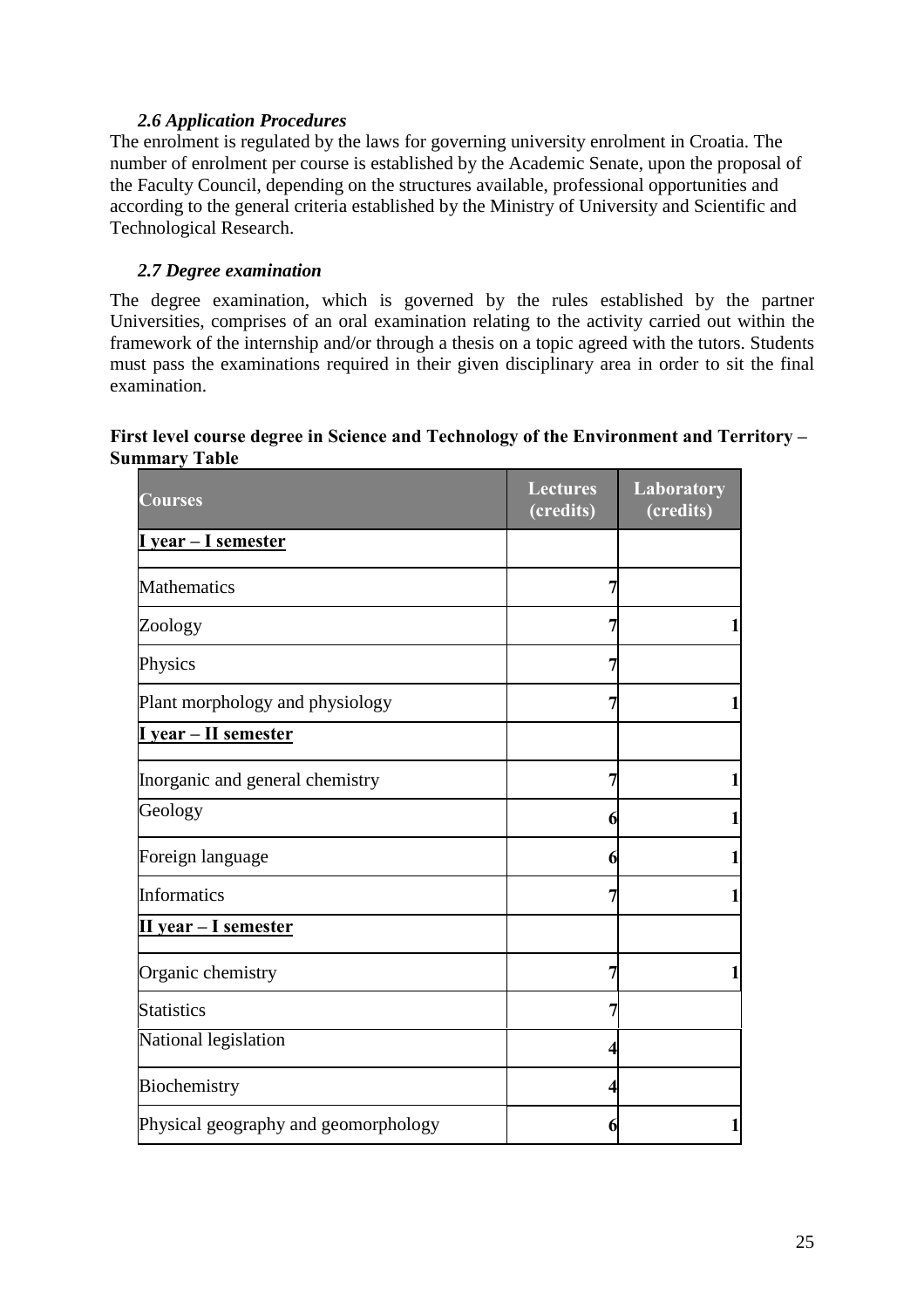#### *2.6 Application Procedures*

The enrolment is regulated by the laws for governing university enrolment in Croatia. The number of enrolment per course is established by the Academic Senate, upon the proposal of the Faculty Council, depending on the structures available, professional opportunities and according to the general criteria established by the Ministry of University and Scientific and Technological Research.

#### *2.7 Degree examination*

The degree examination, which is governed by the rules established by the partner Universities, comprises of an oral examination relating to the activity carried out within the framework of the internship and/or through a thesis on a topic agreed with the tutors. Students must pass the examinations required in their given disciplinary area in order to sit the final examination.

#### First level course degree in Science and Technology of the Environment and Territory – **Summary Table**

| <b>Courses</b>                       | <b>Lectures</b><br>(credits) | <b>Laboratory</b><br>(credits) |
|--------------------------------------|------------------------------|--------------------------------|
| I year – I semester                  |                              |                                |
| <b>Mathematics</b>                   | 7                            |                                |
| Zoology                              |                              |                                |
| Physics                              |                              |                                |
| Plant morphology and physiology      |                              | $\mathbf{1}$                   |
| I year - II semester                 |                              |                                |
| Inorganic and general chemistry      | 7                            | 1                              |
| Geology                              | 6                            | $\mathbf{1}$                   |
| Foreign language                     | 6                            | $\mathbf{1}$                   |
| <b>Informatics</b>                   |                              | $\mathbf{1}$                   |
| II year - I semester                 |                              |                                |
| Organic chemistry                    |                              | $\mathbf{1}$                   |
| <b>Statistics</b>                    |                              |                                |
| National legislation                 |                              |                                |
| Biochemistry                         |                              |                                |
| Physical geography and geomorphology | 6                            |                                |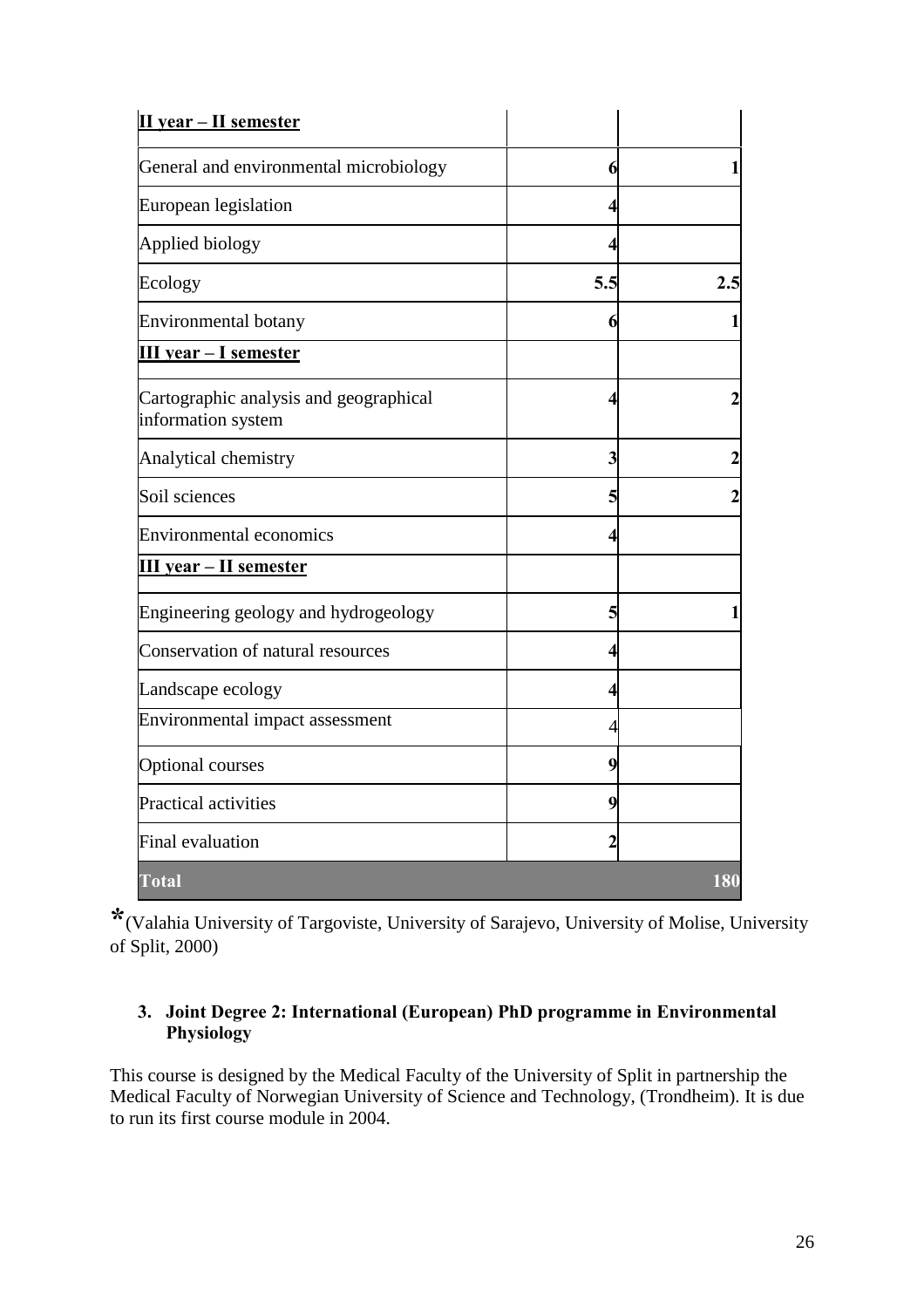| II year - II semester                                        |     |     |
|--------------------------------------------------------------|-----|-----|
| General and environmental microbiology                       | 6   |     |
| European legislation                                         |     |     |
| Applied biology                                              |     |     |
| Ecology                                                      | 5.5 | 2.5 |
| <b>Environmental botany</b>                                  |     |     |
| III year - I semester                                        |     |     |
| Cartographic analysis and geographical<br>information system |     |     |
| Analytical chemistry                                         | 3   |     |
| Soil sciences                                                |     |     |
| <b>Environmental economics</b>                               |     |     |
| <b>III</b> year – II semester                                |     |     |
| Engineering geology and hydrogeology                         | 5   |     |
| Conservation of natural resources                            | Δ   |     |
| Landscape ecology                                            |     |     |
| Environmental impact assessment                              |     |     |
| <b>Optional courses</b>                                      | 9   |     |
| Practical activities                                         | 9   |     |
| <b>Final evaluation</b>                                      | 2   |     |
| Total                                                        |     | 180 |

**\***(Valahia University of Targoviste, University of Sarajevo, University of Molise, University of Split, 2000)

### **3. Joint Degree 2: International (European) PhD programme in Environmental Physiology**

This course is designed by the Medical Faculty of the University of Split in partnership the Medical Faculty of Norwegian University of Science and Technology, (Trondheim). It is due to run its first course module in 2004.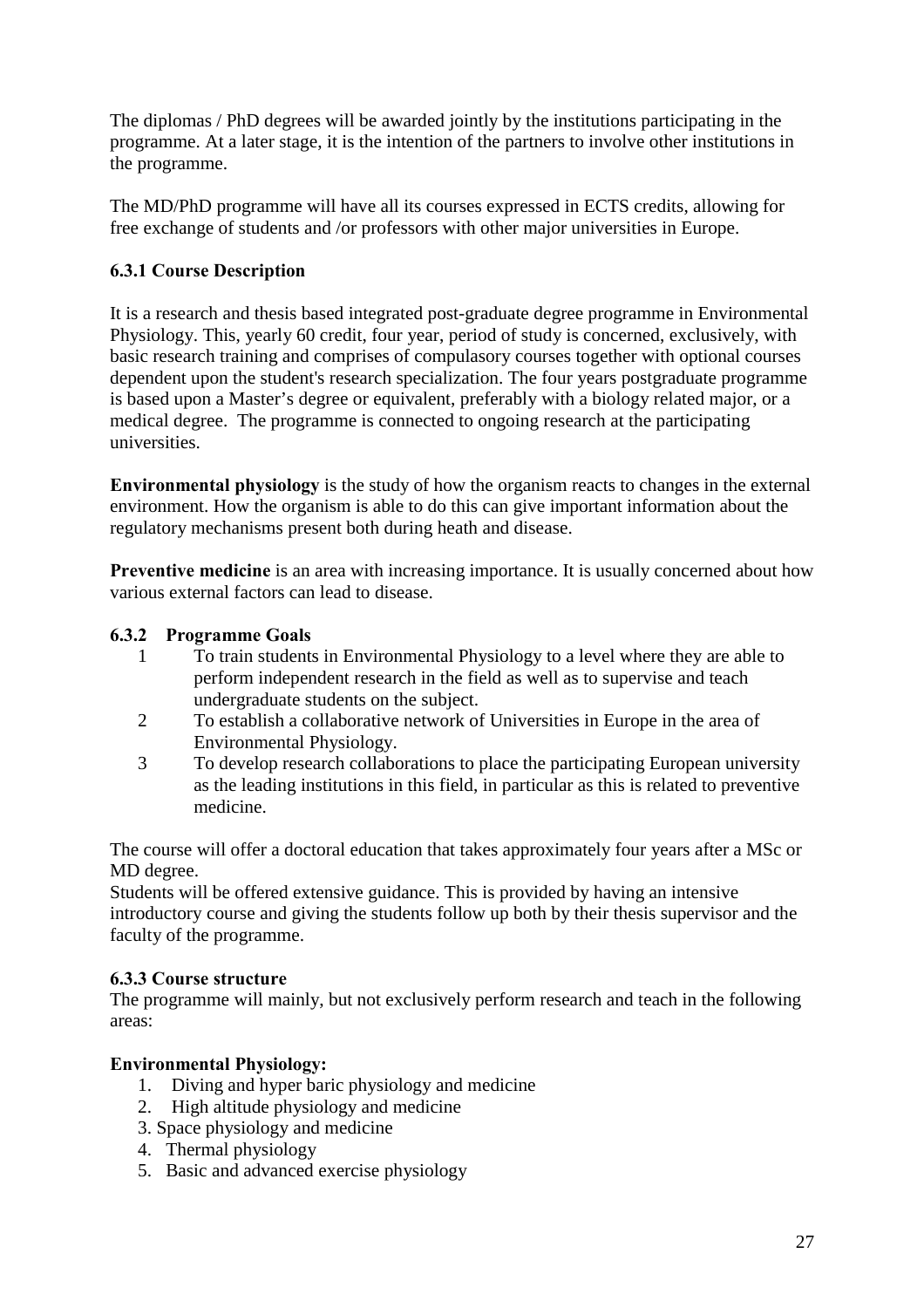The diplomas / PhD degrees will be awarded jointly by the institutions participating in the programme. At a later stage, it is the intention of the partners to involve other institutions in the programme.

The MD/PhD programme will have all its courses expressed in ECTS credits, allowing for free exchange of students and /or professors with other major universities in Europe.

## **6.3.1 Course Description**

It is a research and thesis based integrated post-graduate degree programme in Environmental Physiology. This, yearly 60 credit, four year, period of study is concerned, exclusively, with basic research training and comprises of compulasory courses together with optional courses dependent upon the student's research specialization. The four years postgraduate programme is based upon a Master's degree or equivalent, preferably with a biology related major, or a medical degree. The programme is connected to ongoing research at the participating universities.

**Environmental physiology** is the study of how the organism reacts to changes in the external environment. How the organism is able to do this can give important information about the regulatory mechanisms present both during heath and disease.

**Preventive medicine** is an area with increasing importance. It is usually concerned about how various external factors can lead to disease.

## **6.3.2 Programme Goals**

- 1 To train students in Environmental Physiology to a level where they are able to perform independent research in the field as well as to supervise and teach undergraduate students on the subject.
- 2 To establish a collaborative network of Universities in Europe in the area of Environmental Physiology.
- 3 To develop research collaborations to place the participating European university as the leading institutions in this field, in particular as this is related to preventive medicine.

The course will offer a doctoral education that takes approximately four years after a MSc or MD degree.

Students will be offered extensive guidance. This is provided by having an intensive introductory course and giving the students follow up both by their thesis supervisor and the faculty of the programme.

## **6.3.3 Course structure**

The programme will mainly, but not exclusively perform research and teach in the following areas:

## **Environmental Physiology:**

- 1. Diving and hyper baric physiology and medicine
- 2. High altitude physiology and medicine
- 3. Space physiology and medicine
- 4. Thermal physiology
- 5. Basic and advanced exercise physiology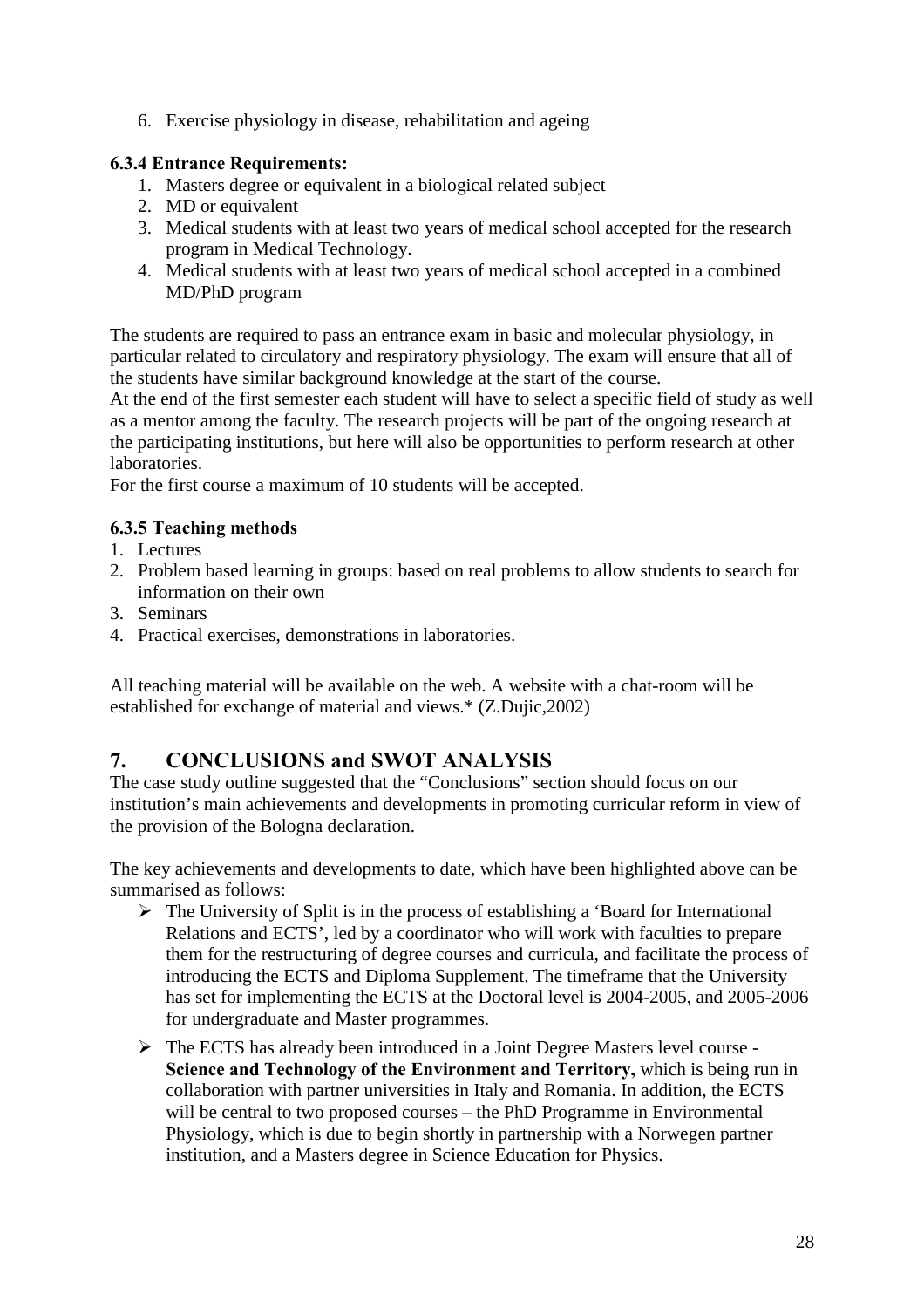6. Exercise physiology in disease, rehabilitation and ageing

## **6.3.4 Entrance Requirements:**

- 1. Masters degree or equivalent in a biological related subject
- 2. MD or equivalent
- 3. Medical students with at least two years of medical school accepted for the research program in Medical Technology.
- 4. Medical students with at least two years of medical school accepted in a combined MD/PhD program

The students are required to pass an entrance exam in basic and molecular physiology, in particular related to circulatory and respiratory physiology. The exam will ensure that all of the students have similar background knowledge at the start of the course.

At the end of the first semester each student will have to select a specific field of study as well as a mentor among the faculty. The research projects will be part of the ongoing research at the participating institutions, but here will also be opportunities to perform research at other laboratories.

For the first course a maximum of 10 students will be accepted.

## **6.3.5 Teaching methods**

- 1. Lectures
- 2. Problem based learning in groups: based on real problems to allow students to search for information on their own
- 3. Seminars
- 4. Practical exercises, demonstrations in laboratories.

All teaching material will be available on the web. A website with a chat-room will be established for exchange of material and views.\* (Z.Dujic,2002)

# **7. CONCLUSIONS and SWOT ANALYSIS**

The case study outline suggested that the "Conclusions" section should focus on our institution's main achievements and developments in promoting curricular reform in view of the provision of the Bologna declaration.

The key achievements and developments to date, which have been highlighted above can be summarised as follows:

- $\triangleright$  The University of Split is in the process of establishing a 'Board for International Relations and ECTS', led by a coordinator who will work with faculties to prepare them for the restructuring of degree courses and curricula, and facilitate the process of introducing the ECTS and Diploma Supplement. The timeframe that the University has set for implementing the ECTS at the Doctoral level is 2004-2005, and 2005-2006 for undergraduate and Master programmes.
- ! The ECTS has already been introduced in a Joint Degree Masters level course **Science and Technology of the Environment and Territory,** which is being run in collaboration with partner universities in Italy and Romania. In addition, the ECTS will be central to two proposed courses – the PhD Programme in Environmental Physiology, which is due to begin shortly in partnership with a Norwegen partner institution, and a Masters degree in Science Education for Physics.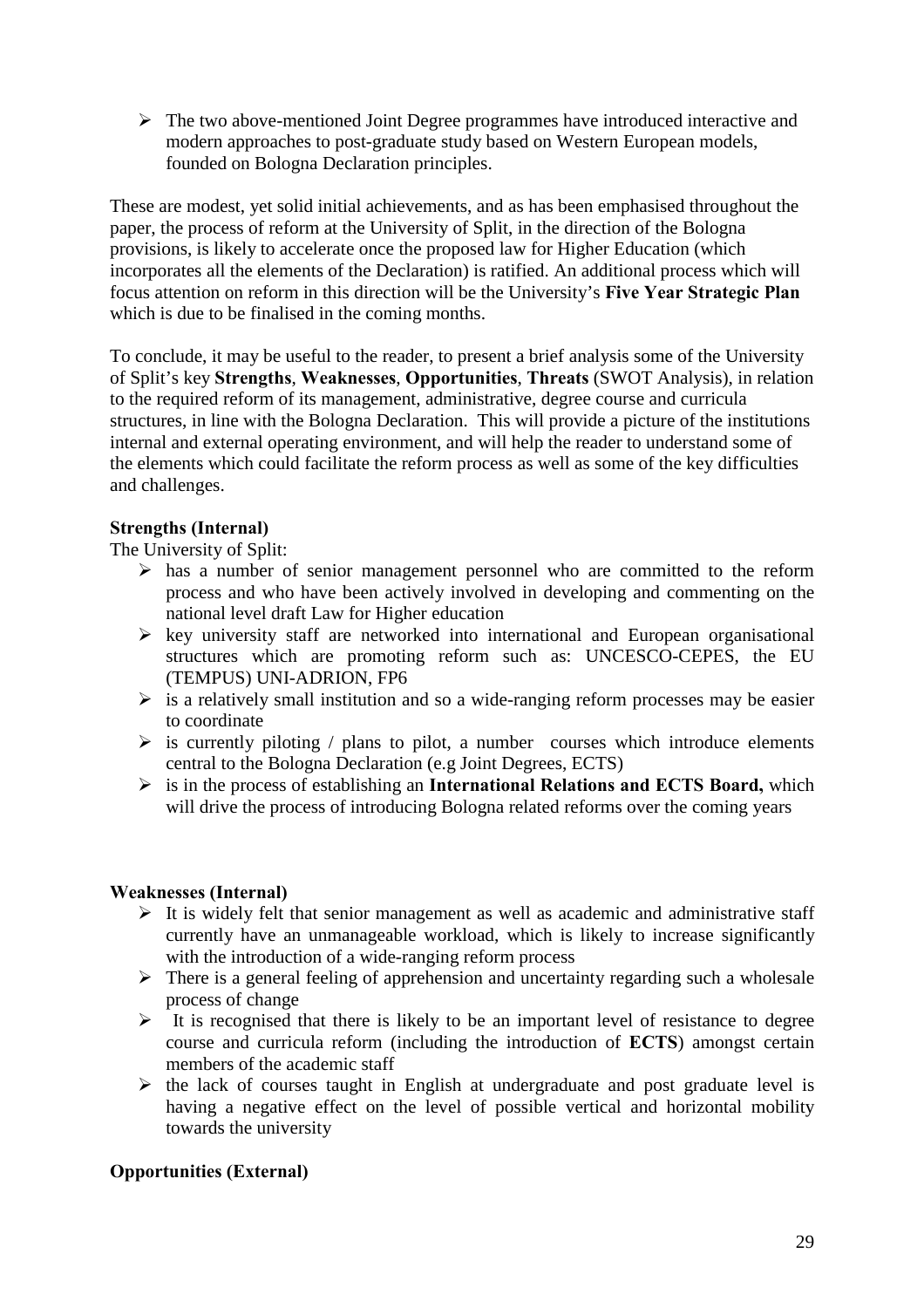$\triangleright$  The two above-mentioned Joint Degree programmes have introduced interactive and modern approaches to post-graduate study based on Western European models, founded on Bologna Declaration principles.

These are modest, yet solid initial achievements, and as has been emphasised throughout the paper, the process of reform at the University of Split, in the direction of the Bologna provisions, is likely to accelerate once the proposed law for Higher Education (which incorporates all the elements of the Declaration) is ratified. An additional process which will focus attention on reform in this direction will be the University's **Five Year Strategic Plan** which is due to be finalised in the coming months.

To conclude, it may be useful to the reader, to present a brief analysis some of the University of Split's key **Strengths**, **Weaknesses**, **Opportunities**, **Threats** (SWOT Analysis), in relation to the required reform of its management, administrative, degree course and curricula structures, in line with the Bologna Declaration. This will provide a picture of the institutions internal and external operating environment, and will help the reader to understand some of the elements which could facilitate the reform process as well as some of the key difficulties and challenges.

#### **Strengths (Internal)**

The University of Split:

- $\triangleright$  has a number of senior management personnel who are committed to the reform process and who have been actively involved in developing and commenting on the national level draft Law for Higher education
- $\triangleright$  key university staff are networked into international and European organisational structures which are promoting reform such as: UNCESCO-CEPES, the EU (TEMPUS) UNI-ADRION, FP6
- $\triangleright$  is a relatively small institution and so a wide-ranging reform processes may be easier to coordinate
- $\triangleright$  is currently piloting / plans to pilot, a number courses which introduce elements central to the Bologna Declaration (e.g Joint Degrees, ECTS)
- ! is in the process of establishing an **International Relations and ECTS Board,** which will drive the process of introducing Bologna related reforms over the coming years

## **Weaknesses (Internal)**

- $\triangleright$  It is widely felt that senior management as well as academic and administrative staff currently have an unmanageable workload, which is likely to increase significantly with the introduction of a wide-ranging reform process
- $\triangleright$  There is a general feeling of apprehension and uncertainty regarding such a wholesale process of change
- $\triangleright$  It is recognised that there is likely to be an important level of resistance to degree course and curricula reform (including the introduction of **ECTS**) amongst certain members of the academic staff
- $\triangleright$  the lack of courses taught in English at undergraduate and post graduate level is having a negative effect on the level of possible vertical and horizontal mobility towards the university

## **Opportunities (External)**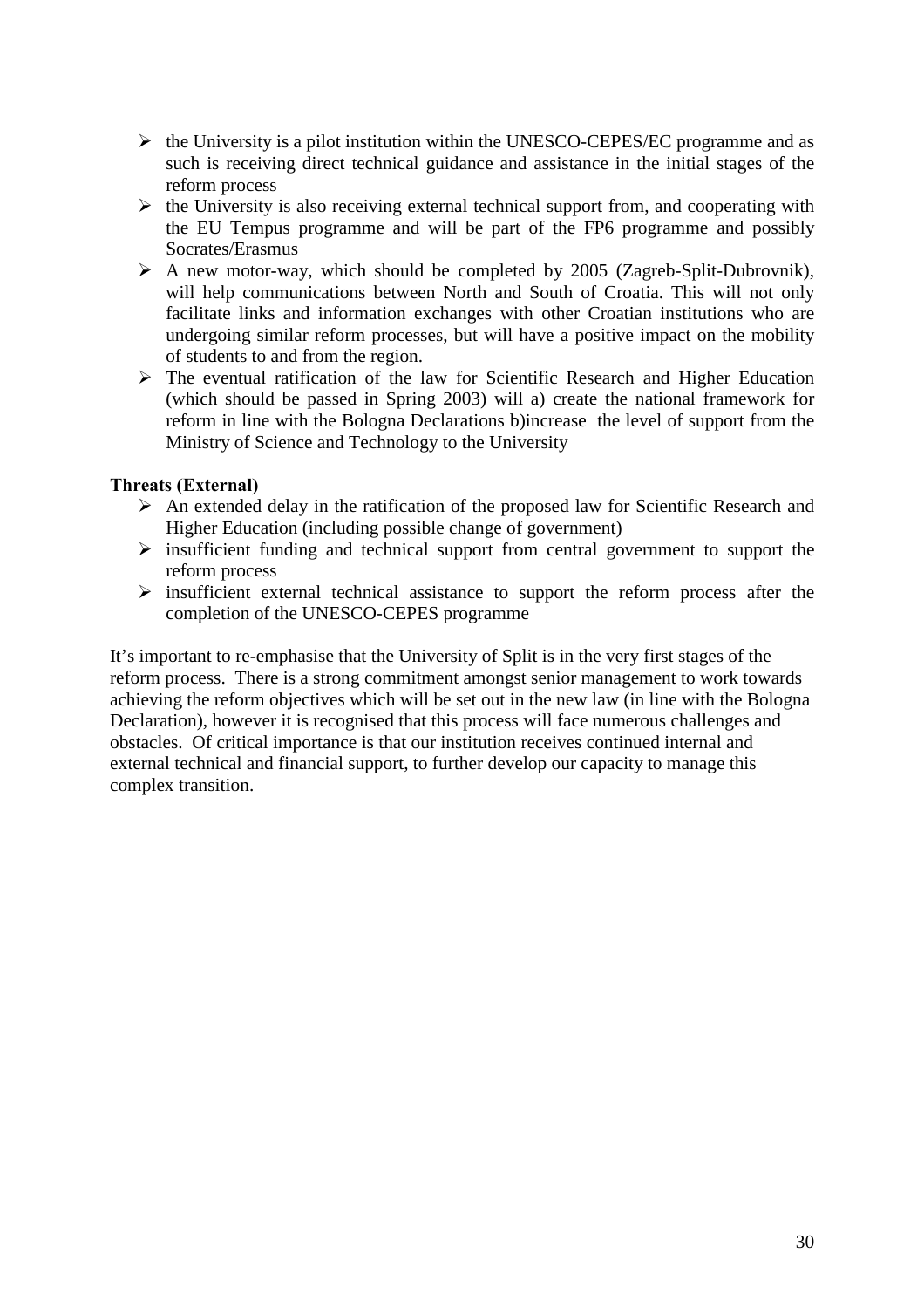- $\triangleright$  the University is a pilot institution within the UNESCO-CEPES/EC programme and as such is receiving direct technical guidance and assistance in the initial stages of the reform process
- $\triangleright$  the University is also receiving external technical support from, and cooperating with the EU Tempus programme and will be part of the FP6 programme and possibly Socrates/Erasmus
- $\triangleright$  A new motor-way, which should be completed by 2005 (Zagreb-Split-Dubrovnik), will help communications between North and South of Croatia. This will not only facilitate links and information exchanges with other Croatian institutions who are undergoing similar reform processes, but will have a positive impact on the mobility of students to and from the region.
- $\triangleright$  The eventual ratification of the law for Scientific Research and Higher Education (which should be passed in Spring 2003) will a) create the national framework for reform in line with the Bologna Declarations b)increase the level of support from the Ministry of Science and Technology to the University

### **Threats (External)**

- $\triangleright$  An extended delay in the ratification of the proposed law for Scientific Research and Higher Education (including possible change of government)
- $\triangleright$  insufficient funding and technical support from central government to support the reform process
- $\triangleright$  insufficient external technical assistance to support the reform process after the completion of the UNESCO-CEPES programme

It's important to re-emphasise that the University of Split is in the very first stages of the reform process. There is a strong commitment amongst senior management to work towards achieving the reform objectives which will be set out in the new law (in line with the Bologna Declaration), however it is recognised that this process will face numerous challenges and obstacles. Of critical importance is that our institution receives continued internal and external technical and financial support, to further develop our capacity to manage this complex transition.